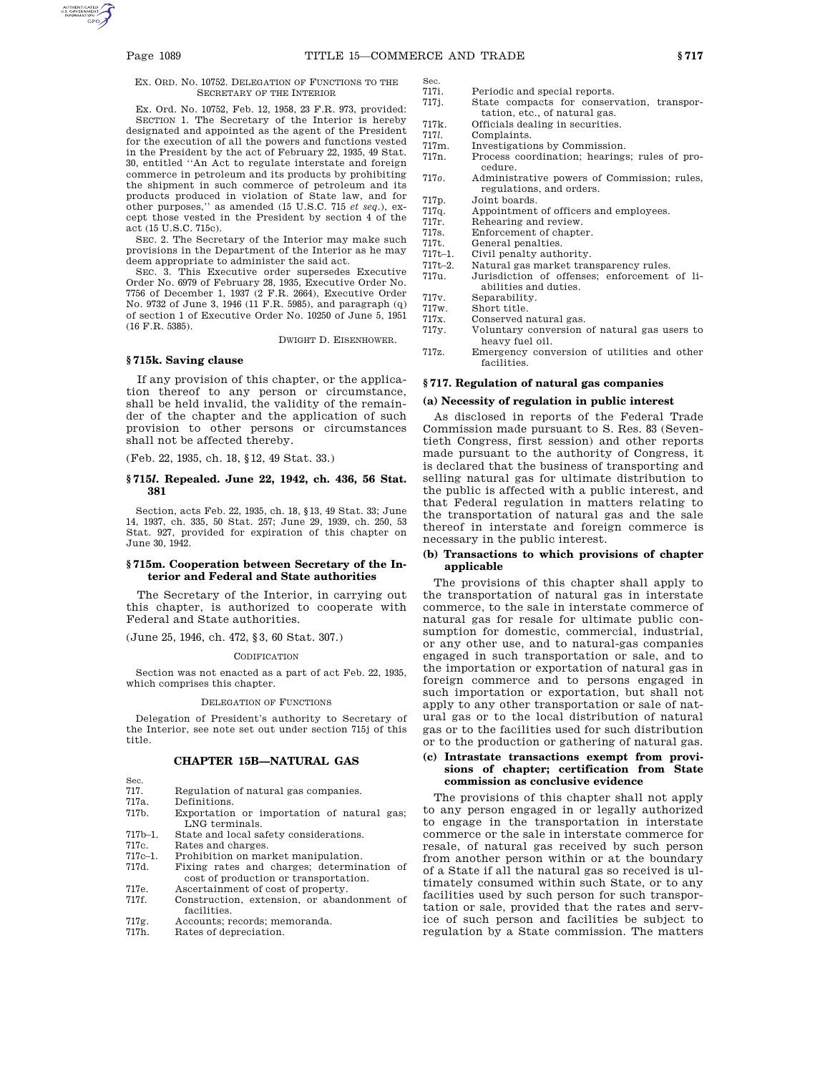### EX. ORD. NO. 10752. DELEGATION OF FUNCTIONS TO THE SECRETARY OF THE INTERIOR

Ex. Ord. No. 10752, Feb. 12, 1958, 23 F.R. 973, provided: SECTION 1. The Secretary of the Interior is hereby designated and appointed as the agent of the President for the execution of all the powers and functions vested in the President by the act of February 22, 1935, 49 Stat. 30, entitled ''An Act to regulate interstate and foreign commerce in petroleum and its products by prohibiting the shipment in such commerce of petroleum and its products produced in violation of State law, and for other purposes,'' as amended (15 U.S.C. 715 *et seq*.), except those vested in the President by section 4 of the act (15 U.S.C. 715c).

SEC. 2. The Secretary of the Interior may make such provisions in the Department of the Interior as he may deem appropriate to administer the said act.

SEC. 3. This Executive order supersedes Executive Order No. 6979 of February 28, 1935, Executive Order No. 7756 of December 1, 1937 (2 F.R. 2664), Executive Order No. 9732 of June 3, 1946 (11 F.R. 5985), and paragraph (q) of section 1 of Executive Order No. 10250 of June 5, 1951 (16 F.R. 5385).

DWIGHT D. EISENHOWER.

#### **§ 715k. Saving clause**

If any provision of this chapter, or the application thereof to any person or circumstance, shall be held invalid, the validity of the remainder of the chapter and the application of such provision to other persons or circumstances shall not be affected thereby.

(Feb. 22, 1935, ch. 18, §12, 49 Stat. 33.)

## **§ 715***l***. Repealed. June 22, 1942, ch. 436, 56 Stat. 381**

Section, acts Feb. 22, 1935, ch. 18, §13, 49 Stat. 33; June 14, 1937, ch. 335, 50 Stat. 257; June 29, 1939, ch. 250, 53 Stat. 927, provided for expiration of this chapter on June 30, 1942.

## **§ 715m. Cooperation between Secretary of the Interior and Federal and State authorities**

The Secretary of the Interior, in carrying out this chapter, is authorized to cooperate with Federal and State authorities.

(June 25, 1946, ch. 472, §3, 60 Stat. 307.)

#### CODIFICATION

Section was not enacted as a part of act Feb. 22, 1935, which comprises this chapter.

#### DELEGATION OF FUNCTIONS

Delegation of President's authority to Secretary of the Interior, see note set out under section 715j of this title.

## **CHAPTER 15B—NATURAL GAS**

| Sec. |            |
|------|------------|
| 717  | Regulation |

- 717. Regulation of natural gas companies. Definitions.
- 717b. Exportation or importation of natural gas; LNG terminals.
- 717b–1. State and local safety considerations.
- 
- 717c. Rates and charges.<br>717c–1. Prohibition on mai 717c–1. Prohibition on market manipulation.
- Fixing rates and charges; determination of cost of production or transportation.
- 717e. Ascertainment of cost of property.<br>717f Construction, extension, or aban-
- Construction, extension, or abandonment of facilities.
- 717g. Accounts; records; memoranda.<br>717b Rates of depreciation
- Rates of depreciation.
- Sec.<br>717i
- 717i. Periodic and special reports. State compacts for conservation, transportation, etc., of natural gas.
- 717k. Officials dealing in securities.<br>717*l*. Complaints.
	- Complaints.
- 717m. Investigations by Commission.<br>717n. Process coordination: hearings
	- Process coordination; hearings; rules of procedure.
- 717*o.* Administrative powers of Commission; rules, regulations, and orders.
- 717p. Joint boards.
- 717q. Appointment of officers and employees.<br>717r. Rehearing and review.
- 717r. Rehearing and review.<br>717s. Enforcement of chapte
- 717s. Enforcement of chapter.<br>717t. General penalties.
- 717t. General penalties.<br>717t-1. Civil penalty auth
- 717t–1. Civil penalty authority.
	- Natural gas market transparency rules.
- 717u. Jurisdiction of offenses; enforcement of liabilities and duties.
- 717v. Separability.
- 717w. Short title.
- 717x. Conserved natural gas.<br>717y. Voluntary conversion
	- 717y. Voluntary conversion of natural gas users to heavy fuel oil.
- 717z. Emergency conversion of utilities and other facilities.

## **§ 717. Regulation of natural gas companies**

## **(a) Necessity of regulation in public interest**

As disclosed in reports of the Federal Trade Commission made pursuant to S. Res. 83 (Seventieth Congress, first session) and other reports made pursuant to the authority of Congress, it is declared that the business of transporting and selling natural gas for ultimate distribution to the public is affected with a public interest, and that Federal regulation in matters relating to the transportation of natural gas and the sale thereof in interstate and foreign commerce is necessary in the public interest.

## **(b) Transactions to which provisions of chapter applicable**

The provisions of this chapter shall apply to the transportation of natural gas in interstate commerce, to the sale in interstate commerce of natural gas for resale for ultimate public consumption for domestic, commercial, industrial, or any other use, and to natural-gas companies engaged in such transportation or sale, and to the importation or exportation of natural gas in foreign commerce and to persons engaged in such importation or exportation, but shall not apply to any other transportation or sale of natural gas or to the local distribution of natural gas or to the facilities used for such distribution or to the production or gathering of natural gas.

## **(c) Intrastate transactions exempt from provisions of chapter; certification from State commission as conclusive evidence**

The provisions of this chapter shall not apply to any person engaged in or legally authorized to engage in the transportation in interstate commerce or the sale in interstate commerce for resale, of natural gas received by such person from another person within or at the boundary of a State if all the natural gas so received is ultimately consumed within such State, or to any facilities used by such person for such transportation or sale, provided that the rates and service of such person and facilities be subject to regulation by a State commission. The matters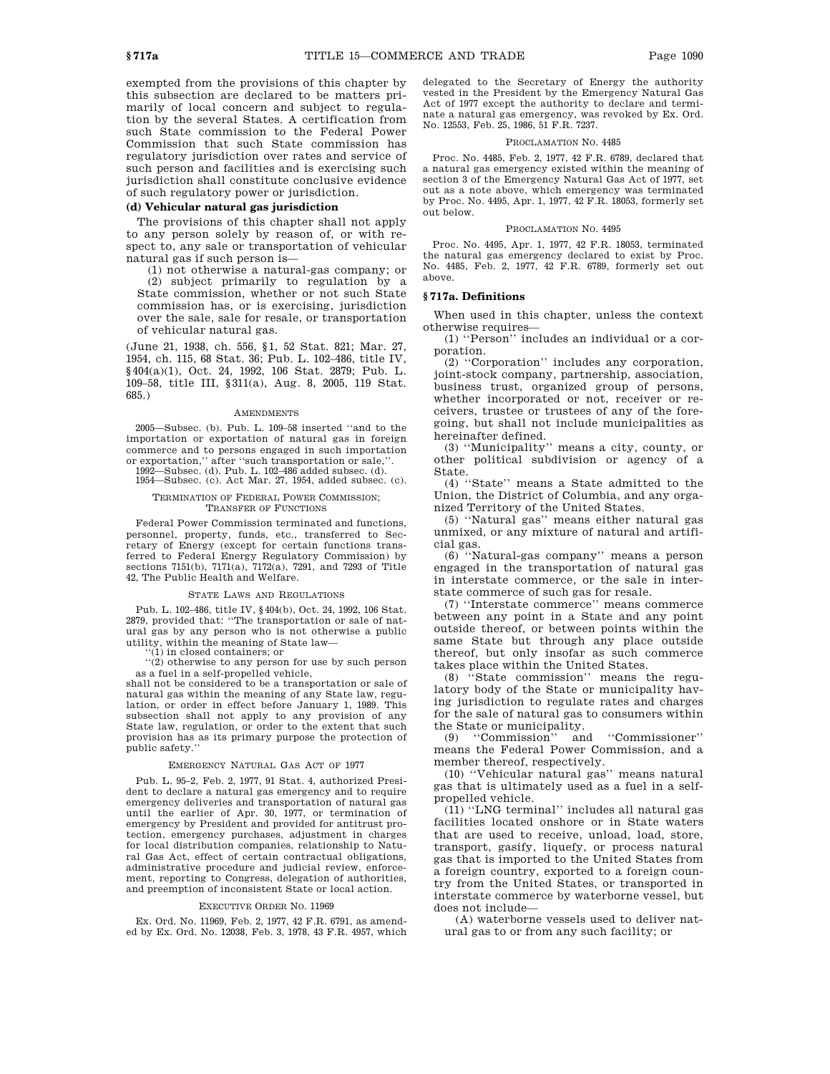exempted from the provisions of this chapter by this subsection are declared to be matters primarily of local concern and subject to regulation by the several States. A certification from such State commission to the Federal Power Commission that such State commission has regulatory jurisdiction over rates and service of such person and facilities and is exercising such jurisdiction shall constitute conclusive evidence of such regulatory power or jurisdiction.

## **(d) Vehicular natural gas jurisdiction**

The provisions of this chapter shall not apply to any person solely by reason of, or with respect to, any sale or transportation of vehicular natural gas if such person is—

(1) not otherwise a natural-gas company; or (2) subject primarily to regulation by a State commission, whether or not such State commission has, or is exercising, jurisdiction over the sale, sale for resale, or transportation of vehicular natural gas.

(June 21, 1938, ch. 556, §1, 52 Stat. 821; Mar. 27, 1954, ch. 115, 68 Stat. 36; Pub. L. 102–486, title IV, §404(a)(1), Oct. 24, 1992, 106 Stat. 2879; Pub. L. 109–58, title III, §311(a), Aug. 8, 2005, 119 Stat. 685.)

#### **AMENDMENTS**

2005—Subsec. (b). Pub. L. 109–58 inserted ''and to the importation or exportation of natural gas in foreign commerce and to persons engaged in such importation or exportation,'' after ''such transportation or sale,''.

1992—Subsec. (d). Pub. L. 102–486 added subsec. (d).

1954—Subsec. (c). Act Mar. 27, 1954, added subsec. (c).

#### TERMINATION OF FEDERAL POWER COMMISSION; TRANSFER OF FUNCTIONS

Federal Power Commission terminated and functions, personnel, property, funds, etc., transferred to Secretary of Energy (except for certain functions transferred to Federal Energy Regulatory Commission) by sections 7151(b), 7171(a), 7172(a), 7291, and 7293 of Title 42, The Public Health and Welfare.

### STATE LAWS AND REGULATIONS

Pub. L. 102–486, title IV, §404(b), Oct. 24, 1992, 106 Stat. 2879, provided that: ''The transportation or sale of natural gas by any person who is not otherwise a public utility, within the meaning of State law—

''(1) in closed containers; or

''(2) otherwise to any person for use by such person as a fuel in a self-propelled vehicle,

shall not be considered to be a transportation or sale of natural gas within the meaning of any State law, regulation, or order in effect before January 1, 1989. This subsection shall not apply to any provision of any State law, regulation, or order to the extent that such provision has as its primary purpose the protection of public safety.''

### EMERGENCY NATURAL GAS ACT OF 1977

Pub. L. 95–2, Feb. 2, 1977, 91 Stat. 4, authorized President to declare a natural gas emergency and to require emergency deliveries and transportation of natural gas until the earlier of Apr. 30, 1977, or termination of emergency by President and provided for antitrust protection, emergency purchases, adjustment in charges for local distribution companies, relationship to Natural Gas Act, effect of certain contractual obligations, administrative procedure and judicial review, enforcement, reporting to Congress, delegation of authorities, and preemption of inconsistent State or local action.

#### EXECUTIVE ORDER NO. 11969

Ex. Ord. No. 11969, Feb. 2, 1977, 42 F.R. 6791, as amended by Ex. Ord. No. 12038, Feb. 3, 1978, 43 F.R. 4957, which delegated to the Secretary of Energy the authority vested in the President by the Emergency Natural Gas Act of 1977 except the authority to declare and terminate a natural gas emergency, was revoked by Ex. Ord. No. 12553, Feb. 25, 1986, 51 F.R. 7237.

### PROCLAMATION NO. 4485

Proc. No. 4485, Feb. 2, 1977, 42 F.R. 6789, declared that a natural gas emergency existed within the meaning of section 3 of the Emergency Natural Gas Act of 1977, set out as a note above, which emergency was terminated by Proc. No. 4495, Apr. 1, 1977, 42 F.R. 18053, formerly set out below.

## PROCLAMATION NO. 4495

Proc. No. 4495, Apr. 1, 1977, 42 F.R. 18053, terminated the natural gas emergency declared to exist by Proc. No. 4485, Feb. 2, 1977, 42 F.R. 6789, formerly set out above.

## **§ 717a. Definitions**

When used in this chapter, unless the context otherwise requires—

(1) ''Person'' includes an individual or a corporation.

(2) ''Corporation'' includes any corporation, joint-stock company, partnership, association, business trust, organized group of persons, whether incorporated or not, receiver or receivers, trustee or trustees of any of the foregoing, but shall not include municipalities as hereinafter defined.

(3) ''Municipality'' means a city, county, or other political subdivision or agency of a State.

(4) ''State'' means a State admitted to the Union, the District of Columbia, and any organized Territory of the United States.

(5) ''Natural gas'' means either natural gas unmixed, or any mixture of natural and artificial gas.

(6) ''Natural-gas company'' means a person engaged in the transportation of natural gas in interstate commerce, or the sale in interstate commerce of such gas for resale.

(7) ''Interstate commerce'' means commerce between any point in a State and any point outside thereof, or between points within the same State but through any place outside thereof, but only insofar as such commerce takes place within the United States.

(8) ''State commission'' means the regulatory body of the State or municipality having jurisdiction to regulate rates and charges for the sale of natural gas to consumers within

the State or municipality.<br>(9) "Commission" and (9) ''Commission'' and ''Commissioner'' means the Federal Power Commission, and a member thereof, respectively.

(10) ''Vehicular natural gas'' means natural gas that is ultimately used as a fuel in a selfpropelled vehicle.

(11) ''LNG terminal'' includes all natural gas facilities located onshore or in State waters that are used to receive, unload, load, store, transport, gasify, liquefy, or process natural gas that is imported to the United States from a foreign country, exported to a foreign country from the United States, or transported in interstate commerce by waterborne vessel, but does not include—

(A) waterborne vessels used to deliver natural gas to or from any such facility; or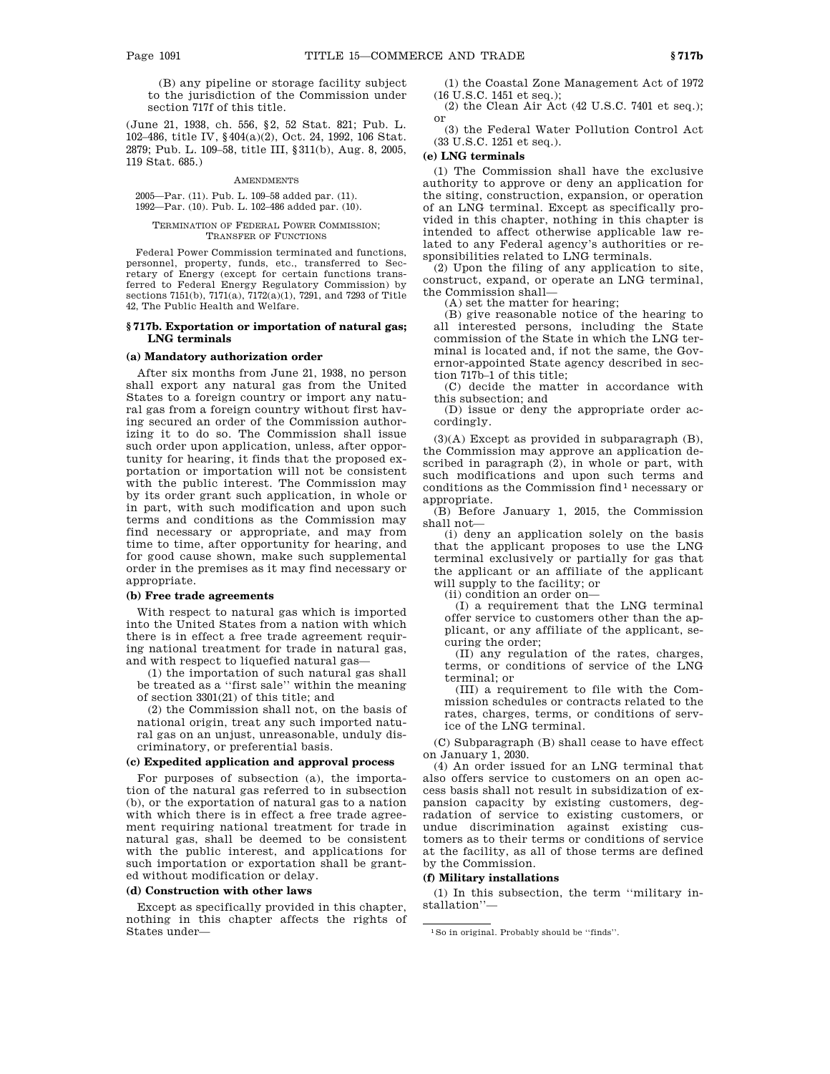(B) any pipeline or storage facility subject to the jurisdiction of the Commission under section 717f of this title.

(June 21, 1938, ch. 556, §2, 52 Stat. 821; Pub. L. 102–486, title IV, §404(a)(2), Oct. 24, 1992, 106 Stat. 2879; Pub. L. 109–58, title III, §311(b), Aug. 8, 2005, 119 Stat. 685.)

#### **AMENDMENTS**

2005—Par. (11). Pub. L. 109–58 added par. (11). 1992—Par. (10). Pub. L. 102–486 added par. (10).

### TERMINATION OF FEDERAL POWER COMMISSION; TRANSFER OF FUNCTIONS

Federal Power Commission terminated and functions, personnel, property, funds, etc., transferred to Secretary of Energy (except for certain functions transferred to Federal Energy Regulatory Commission) by sections 7151(b), 7171(a), 7172(a)(1), 7291, and 7293 of Title 42, The Public Health and Welfare.

## **§ 717b. Exportation or importation of natural gas; LNG terminals**

## **(a) Mandatory authorization order**

After six months from June 21, 1938, no person shall export any natural gas from the United States to a foreign country or import any natural gas from a foreign country without first having secured an order of the Commission authorizing it to do so. The Commission shall issue such order upon application, unless, after opportunity for hearing, it finds that the proposed exportation or importation will not be consistent with the public interest. The Commission may by its order grant such application, in whole or in part, with such modification and upon such terms and conditions as the Commission may find necessary or appropriate, and may from time to time, after opportunity for hearing, and for good cause shown, make such supplemental order in the premises as it may find necessary or appropriate.

### **(b) Free trade agreements**

With respect to natural gas which is imported into the United States from a nation with which there is in effect a free trade agreement requiring national treatment for trade in natural gas, and with respect to liquefied natural gas-

(1) the importation of such natural gas shall be treated as a ''first sale'' within the meaning of section 3301(21) of this title; and

(2) the Commission shall not, on the basis of national origin, treat any such imported natural gas on an unjust, unreasonable, unduly discriminatory, or preferential basis.

### **(c) Expedited application and approval process**

For purposes of subsection (a), the importation of the natural gas referred to in subsection (b), or the exportation of natural gas to a nation with which there is in effect a free trade agreement requiring national treatment for trade in natural gas, shall be deemed to be consistent with the public interest, and applications for such importation or exportation shall be granted without modification or delay.

#### **(d) Construction with other laws**

Except as specifically provided in this chapter, nothing in this chapter affects the rights of States under—

(1) the Coastal Zone Management Act of 1972 (16 U.S.C. 1451 et seq.);

(2) the Clean Air Act (42 U.S.C. 7401 et seq.); or

(3) the Federal Water Pollution Control Act (33 U.S.C. 1251 et seq.).

## **(e) LNG terminals**

(1) The Commission shall have the exclusive authority to approve or deny an application for the siting, construction, expansion, or operation of an LNG terminal. Except as specifically provided in this chapter, nothing in this chapter is intended to affect otherwise applicable law related to any Federal agency's authorities or responsibilities related to LNG terminals.

(2) Upon the filing of any application to site, construct, expand, or operate an LNG terminal, the Commission shall—

(A) set the matter for hearing;

(B) give reasonable notice of the hearing to all interested persons, including the State commission of the State in which the LNG terminal is located and, if not the same, the Governor-appointed State agency described in section 717b–1 of this title;

(C) decide the matter in accordance with this subsection; and

(D) issue or deny the appropriate order accordingly.

(3)(A) Except as provided in subparagraph (B), the Commission may approve an application described in paragraph (2), in whole or part, with such modifications and upon such terms and conditions as the Commission find 1 necessary or appropriate.

(B) Before January 1, 2015, the Commission shall not—

(i) deny an application solely on the basis that the applicant proposes to use the LNG terminal exclusively or partially for gas that the applicant or an affiliate of the applicant will supply to the facility; or

(ii) condition an order on—

(I) a requirement that the LNG terminal offer service to customers other than the applicant, or any affiliate of the applicant, securing the order;

(II) any regulation of the rates, charges, terms, or conditions of service of the LNG terminal; or

(III) a requirement to file with the Commission schedules or contracts related to the rates, charges, terms, or conditions of service of the LNG terminal.

(C) Subparagraph (B) shall cease to have effect on January 1, 2030.

(4) An order issued for an LNG terminal that also offers service to customers on an open access basis shall not result in subsidization of expansion capacity by existing customers, degradation of service to existing customers, or undue discrimination against existing customers as to their terms or conditions of service at the facility, as all of those terms are defined by the Commission.

## **(f) Military installations**

(1) In this subsection, the term ''military installation''—

<sup>1</sup>So in original. Probably should be ''finds''.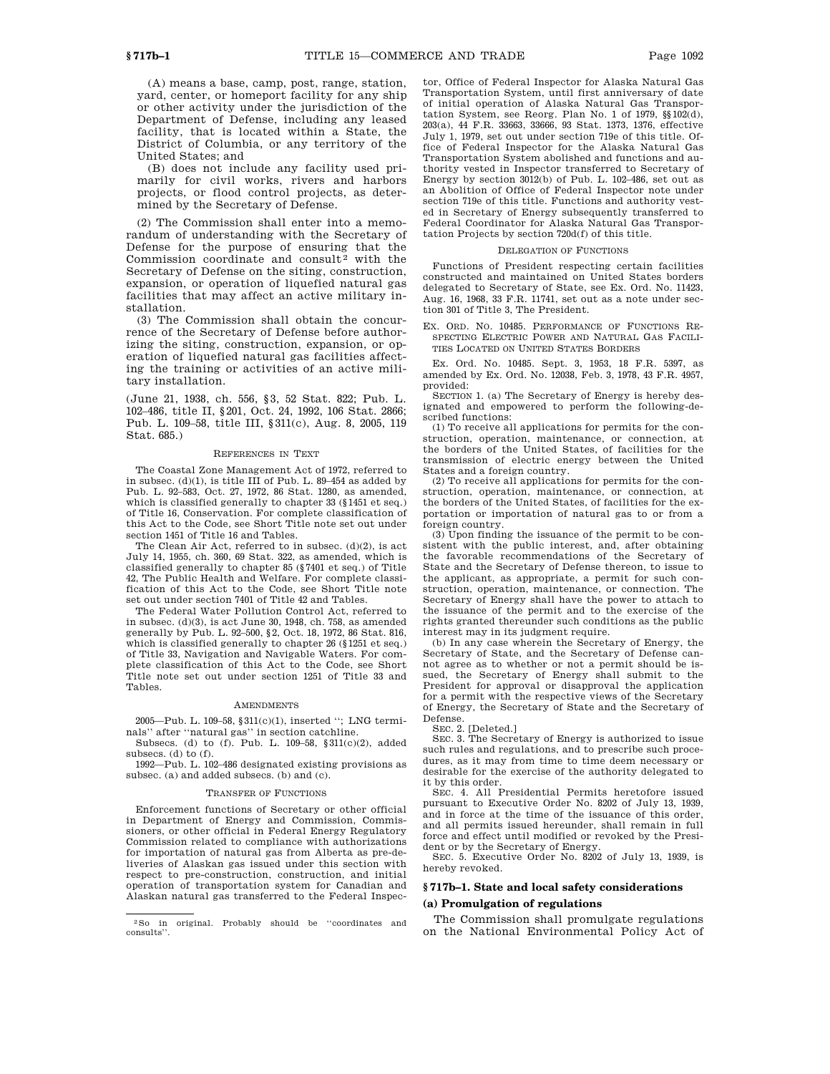(A) means a base, camp, post, range, station, yard, center, or homeport facility for any ship or other activity under the jurisdiction of the Department of Defense, including any leased facility, that is located within a State, the District of Columbia, or any territory of the United States; and

(B) does not include any facility used primarily for civil works, rivers and harbors projects, or flood control projects, as determined by the Secretary of Defense.

(2) The Commission shall enter into a memorandum of understanding with the Secretary of Defense for the purpose of ensuring that the Commission coordinate and consult<sup>2</sup> with the Secretary of Defense on the siting, construction, expansion, or operation of liquefied natural gas facilities that may affect an active military installation.

(3) The Commission shall obtain the concurrence of the Secretary of Defense before authorizing the siting, construction, expansion, or operation of liquefied natural gas facilities affecting the training or activities of an active military installation.

(June 21, 1938, ch. 556, §3, 52 Stat. 822; Pub. L. 102–486, title II, §201, Oct. 24, 1992, 106 Stat. 2866; Pub. L. 109–58, title III, §311(c), Aug. 8, 2005, 119 Stat. 685.)

#### REFERENCES IN TEXT

The Coastal Zone Management Act of 1972, referred to in subsec.  $(d)(1)$ , is title III of Pub. L. 89–454 as added by Pub. L. 92–583, Oct. 27, 1972, 86 Stat. 1280, as amended, which is classified generally to chapter 33 (§1451 et seq.) of Title 16, Conservation. For complete classification of this Act to the Code, see Short Title note set out under section 1451 of Title 16 and Tables.

The Clean Air Act, referred to in subsec. (d)(2), is act July 14, 1955, ch. 360, 69 Stat. 322, as amended, which is classified generally to chapter 85 (§7401 et seq.) of Title 42, The Public Health and Welfare. For complete classification of this Act to the Code, see Short Title note set out under section 7401 of Title 42 and Tables.

The Federal Water Pollution Control Act, referred to in subsec. (d)(3), is act June 30, 1948, ch. 758, as amended generally by Pub. L. 92–500, §2, Oct. 18, 1972, 86 Stat. 816, which is classified generally to chapter 26 (§1251 et seq.) of Title 33, Navigation and Navigable Waters. For complete classification of this Act to the Code, see Short Title note set out under section 1251 of Title 33 and Tables.

#### **AMENDMENTS**

2005—Pub. L. 109–58, §311(c)(1), inserted ''; LNG terminals'' after ''natural gas'' in section catchline.

Subsecs. (d) to (f). Pub. L. 109–58, §311(c)(2), added subsecs. (d) to (f).

1992—Pub. L. 102–486 designated existing provisions as subsec. (a) and added subsecs. (b) and (c).

#### TRANSFER OF FUNCTIONS

Enforcement functions of Secretary or other official in Department of Energy and Commission, Commissioners, or other official in Federal Energy Regulatory Commission related to compliance with authorizations for importation of natural gas from Alberta as pre-deliveries of Alaskan gas issued under this section with respect to pre-construction, construction, and initial operation of transportation system for Canadian and Alaskan natural gas transferred to the Federal Inspec-

2So in original. Probably should be ''coordinates and consults''.

tor, Office of Federal Inspector for Alaska Natural Gas Transportation System, until first anniversary of date of initial operation of Alaska Natural Gas Transportation System, see Reorg. Plan No. 1 of 1979, §§102(d), 203(a), 44 F.R. 33663, 33666, 93 Stat. 1373, 1376, effective July 1, 1979, set out under section 719e of this title. Office of Federal Inspector for the Alaska Natural Gas Transportation System abolished and functions and authority vested in Inspector transferred to Secretary of Energy by section  $3012(b)$  of Pub. L. 102-486, set out as an Abolition of Office of Federal Inspector note under section 719e of this title. Functions and authority vested in Secretary of Energy subsequently transferred to Federal Coordinator for Alaska Natural Gas Transportation Projects by section 720d(f) of this title.

#### DELEGATION OF FUNCTIONS

Functions of President respecting certain facilities constructed and maintained on United States borders delegated to Secretary of State, see Ex. Ord. No. 11423, Aug. 16, 1968, 33 F.R. 11741, set out as a note under section 301 of Title 3, The President.

EX. ORD. NO. 10485. PERFORMANCE OF FUNCTIONS RE-SPECTING ELECTRIC POWER AND NATURAL GAS FACILI-TIES LOCATED ON UNITED STATES BORDERS

Ex. Ord. No. 10485. Sept. 3, 1953, 18 F.R. 5397, as amended by Ex. Ord. No. 12038, Feb. 3, 1978, 43 F.R. 4957, provided:

SECTION 1. (a) The Secretary of Energy is hereby designated and empowered to perform the following-described functions:

(1) To receive all applications for permits for the construction, operation, maintenance, or connection, at the borders of the United States, of facilities for the transmission of electric energy between the United States and a foreign country.

(2) To receive all applications for permits for the construction, operation, maintenance, or connection, at the borders of the United States, of facilities for the exportation or importation of natural gas to or from a foreign country.

(3) Upon finding the issuance of the permit to be consistent with the public interest, and, after obtaining the favorable recommendations of the Secretary of State and the Secretary of Defense thereon, to issue to the applicant, as appropriate, a permit for such construction, operation, maintenance, or connection. The Secretary of Energy shall have the power to attach to the issuance of the permit and to the exercise of the rights granted thereunder such conditions as the public interest may in its judgment require.

(b) In any case wherein the Secretary of Energy, the Secretary of State, and the Secretary of Defense cannot agree as to whether or not a permit should be issued, the Secretary of Energy shall submit to the President for approval or disapproval the application for a permit with the respective views of the Secretary of Energy, the Secretary of State and the Secretary of Defense.

SEC. 2. [Deleted.]

SEC. 3. The Secretary of Energy is authorized to issue such rules and regulations, and to prescribe such procedures, as it may from time to time deem necessary or desirable for the exercise of the authority delegated to it by this order.

SEC. 4. All Presidential Permits heretofore issued pursuant to Executive Order No. 8202 of July 13, 1939, and in force at the time of the issuance of this order, and all permits issued hereunder, shall remain in full force and effect until modified or revoked by the Presi-

dent or by the Secretary of Energy. SEC. 5. Executive Order No. 8202 of July 13, 1939, is hereby revoked.

## **§ 717b–1. State and local safety considerations**

#### **(a) Promulgation of regulations**

The Commission shall promulgate regulations on the National Environmental Policy Act of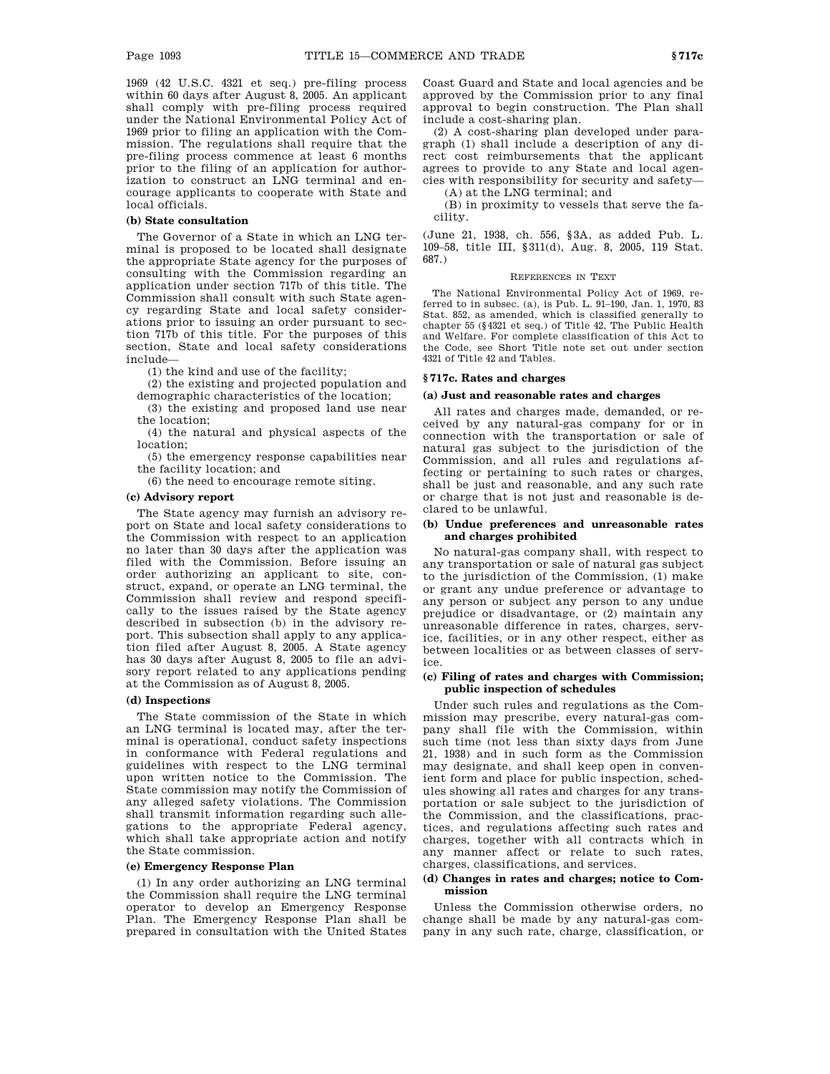1969 (42 U.S.C. 4321 et seq.) pre-filing process within 60 days after August 8, 2005. An applicant shall comply with pre-filing process required under the National Environmental Policy Act of 1969 prior to filing an application with the Commission. The regulations shall require that the pre-filing process commence at least 6 months prior to the filing of an application for authorization to construct an LNG terminal and encourage applicants to cooperate with State and local officials.

## **(b) State consultation**

The Governor of a State in which an LNG terminal is proposed to be located shall designate the appropriate State agency for the purposes of consulting with the Commission regarding an application under section 717b of this title. The Commission shall consult with such State agency regarding State and local safety considerations prior to issuing an order pursuant to section 717b of this title. For the purposes of this section, State and local safety considerations include—

(1) the kind and use of the facility;

(2) the existing and projected population and demographic characteristics of the location;

(3) the existing and proposed land use near the location;

(4) the natural and physical aspects of the location;

(5) the emergency response capabilities near the facility location; and

(6) the need to encourage remote siting.

## **(c) Advisory report**

The State agency may furnish an advisory report on State and local safety considerations to the Commission with respect to an application no later than 30 days after the application was filed with the Commission. Before issuing an order authorizing an applicant to site, construct, expand, or operate an LNG terminal, the Commission shall review and respond specifically to the issues raised by the State agency described in subsection (b) in the advisory report. This subsection shall apply to any application filed after August 8, 2005. A State agency has 30 days after August 8, 2005 to file an advisory report related to any applications pending at the Commission as of August 8, 2005.

### **(d) Inspections**

The State commission of the State in which an LNG terminal is located may, after the terminal is operational, conduct safety inspections in conformance with Federal regulations and guidelines with respect to the LNG terminal upon written notice to the Commission. The State commission may notify the Commission of any alleged safety violations. The Commission shall transmit information regarding such allegations to the appropriate Federal agency, which shall take appropriate action and notify the State commission.

## **(e) Emergency Response Plan**

(1) In any order authorizing an LNG terminal the Commission shall require the LNG terminal operator to develop an Emergency Response Plan. The Emergency Response Plan shall be prepared in consultation with the United States Coast Guard and State and local agencies and be approved by the Commission prior to any final approval to begin construction. The Plan shall include a cost-sharing plan.

(2) A cost-sharing plan developed under paragraph (1) shall include a description of any direct cost reimbursements that the applicant agrees to provide to any State and local agencies with responsibility for security and safety—

(A) at the LNG terminal; and

(B) in proximity to vessels that serve the facility.

(June 21, 1938, ch. 556, §3A, as added Pub. L. 109–58, title III, §311(d), Aug. 8, 2005, 119 Stat. 687.)

### REFERENCES IN TEXT

The National Environmental Policy Act of 1969, referred to in subsec. (a), is Pub. L. 91–190, Jan. 1, 1970, 83 Stat. 852, as amended, which is classified generally to chapter 55 (§4321 et seq.) of Title 42, The Public Health and Welfare. For complete classification of this Act to the Code, see Short Title note set out under section 4321 of Title 42 and Tables.

### **§ 717c. Rates and charges**

### **(a) Just and reasonable rates and charges**

All rates and charges made, demanded, or received by any natural-gas company for or in connection with the transportation or sale of natural gas subject to the jurisdiction of the Commission, and all rules and regulations affecting or pertaining to such rates or charges, shall be just and reasonable, and any such rate or charge that is not just and reasonable is declared to be unlawful.

## **(b) Undue preferences and unreasonable rates and charges prohibited**

No natural-gas company shall, with respect to any transportation or sale of natural gas subject to the jurisdiction of the Commission, (1) make or grant any undue preference or advantage to any person or subject any person to any undue prejudice or disadvantage, or (2) maintain any unreasonable difference in rates, charges, service, facilities, or in any other respect, either as between localities or as between classes of service.

## **(c) Filing of rates and charges with Commission; public inspection of schedules**

Under such rules and regulations as the Commission may prescribe, every natural-gas company shall file with the Commission, within such time (not less than sixty days from June 21, 1938) and in such form as the Commission may designate, and shall keep open in convenient form and place for public inspection, schedules showing all rates and charges for any transportation or sale subject to the jurisdiction of the Commission, and the classifications, practices, and regulations affecting such rates and charges, together with all contracts which in any manner affect or relate to such rates, charges, classifications, and services.

## **(d) Changes in rates and charges; notice to Commission**

Unless the Commission otherwise orders, no change shall be made by any natural-gas company in any such rate, charge, classification, or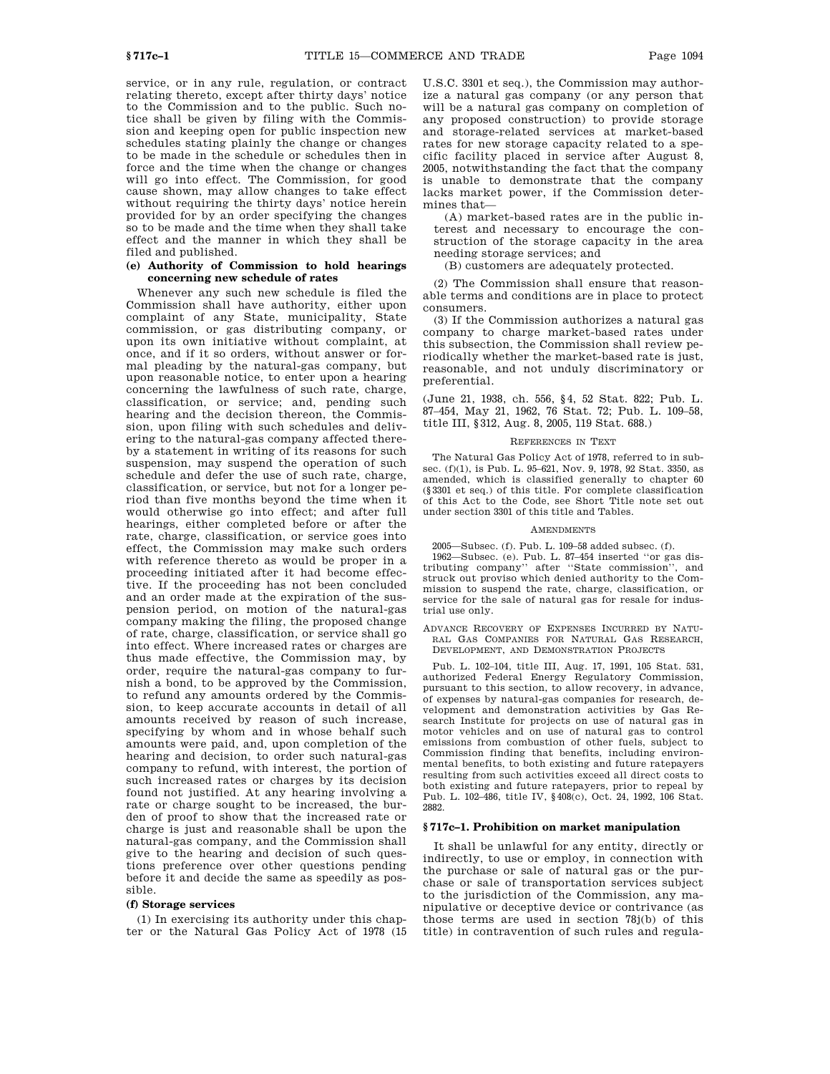service, or in any rule, regulation, or contract relating thereto, except after thirty days' notice to the Commission and to the public. Such notice shall be given by filing with the Commission and keeping open for public inspection new schedules stating plainly the change or changes to be made in the schedule or schedules then in force and the time when the change or changes will go into effect. The Commission, for good cause shown, may allow changes to take effect without requiring the thirty days' notice herein provided for by an order specifying the changes so to be made and the time when they shall take effect and the manner in which they shall be filed and published.

## **(e) Authority of Commission to hold hearings concerning new schedule of rates**

Whenever any such new schedule is filed the Commission shall have authority, either upon complaint of any State, municipality, State commission, or gas distributing company, or upon its own initiative without complaint, at once, and if it so orders, without answer or formal pleading by the natural-gas company, but upon reasonable notice, to enter upon a hearing concerning the lawfulness of such rate, charge, classification, or service; and, pending such hearing and the decision thereon, the Commission, upon filing with such schedules and delivering to the natural-gas company affected thereby a statement in writing of its reasons for such suspension, may suspend the operation of such schedule and defer the use of such rate, charge, classification, or service, but not for a longer period than five months beyond the time when it would otherwise go into effect; and after full hearings, either completed before or after the rate, charge, classification, or service goes into effect, the Commission may make such orders with reference thereto as would be proper in a proceeding initiated after it had become effective. If the proceeding has not been concluded and an order made at the expiration of the suspension period, on motion of the natural-gas company making the filing, the proposed change of rate, charge, classification, or service shall go into effect. Where increased rates or charges are thus made effective, the Commission may, by order, require the natural-gas company to furnish a bond, to be approved by the Commission, to refund any amounts ordered by the Commission, to keep accurate accounts in detail of all amounts received by reason of such increase, specifying by whom and in whose behalf such amounts were paid, and, upon completion of the hearing and decision, to order such natural-gas company to refund, with interest, the portion of such increased rates or charges by its decision found not justified. At any hearing involving a rate or charge sought to be increased, the burden of proof to show that the increased rate or charge is just and reasonable shall be upon the natural-gas company, and the Commission shall give to the hearing and decision of such questions preference over other questions pending before it and decide the same as speedily as possible.

### **(f) Storage services**

(1) In exercising its authority under this chapter or the Natural Gas Policy Act of 1978 (15 U.S.C. 3301 et seq.), the Commission may authorize a natural gas company (or any person that will be a natural gas company on completion of any proposed construction) to provide storage and storage-related services at market-based rates for new storage capacity related to a specific facility placed in service after August 8, 2005, notwithstanding the fact that the company is unable to demonstrate that the company lacks market power, if the Commission determines that—

(A) market-based rates are in the public interest and necessary to encourage the construction of the storage capacity in the area needing storage services; and

(B) customers are adequately protected.

(2) The Commission shall ensure that reasonable terms and conditions are in place to protect consumers.

(3) If the Commission authorizes a natural gas company to charge market-based rates under this subsection, the Commission shall review periodically whether the market-based rate is just, reasonable, and not unduly discriminatory or preferential.

(June 21, 1938, ch. 556, §4, 52 Stat. 822; Pub. L. 87–454, May 21, 1962, 76 Stat. 72; Pub. L. 109–58, title III, §312, Aug. 8, 2005, 119 Stat. 688.)

### REFERENCES IN TEXT

The Natural Gas Policy Act of 1978, referred to in subsec. (f)(1), is Pub. L. 95–621, Nov. 9, 1978, 92 Stat. 3350, as amended, which is classified generally to chapter 60 (§3301 et seq.) of this title. For complete classification of this Act to the Code, see Short Title note set out under section 3301 of this title and Tables.

#### **AMENDMENTS**

2005—Subsec. (f). Pub. L. 109–58 added subsec. (f).

1962—Subsec. (e). Pub. L. 87–454 inserted ''or gas distributing company'' after ''State commission'', and struck out proviso which denied authority to the Commission to suspend the rate, charge, classification, or service for the sale of natural gas for resale for industrial use only.

ADVANCE RECOVERY OF EXPENSES INCURRED BY NATU-RAL GAS COMPANIES FOR NATURAL GAS RESEARCH, DEVELOPMENT, AND DEMONSTRATION PROJECTS

Pub. L. 102–104, title III, Aug. 17, 1991, 105 Stat. 531, authorized Federal Energy Regulatory Commission, pursuant to this section, to allow recovery, in advance, of expenses by natural-gas companies for research, development and demonstration activities by Gas Research Institute for projects on use of natural gas in motor vehicles and on use of natural gas to control emissions from combustion of other fuels, subject to Commission finding that benefits, including environmental benefits, to both existing and future ratepayers resulting from such activities exceed all direct costs to both existing and future ratepayers, prior to repeal by Pub. L. 102–486, title IV, §408(c), Oct. 24, 1992, 106 Stat. 2882.

## **§ 717c–1. Prohibition on market manipulation**

It shall be unlawful for any entity, directly or indirectly, to use or employ, in connection with the purchase or sale of natural gas or the purchase or sale of transportation services subject to the jurisdiction of the Commission, any manipulative or deceptive device or contrivance (as those terms are used in section 78j(b) of this title) in contravention of such rules and regula-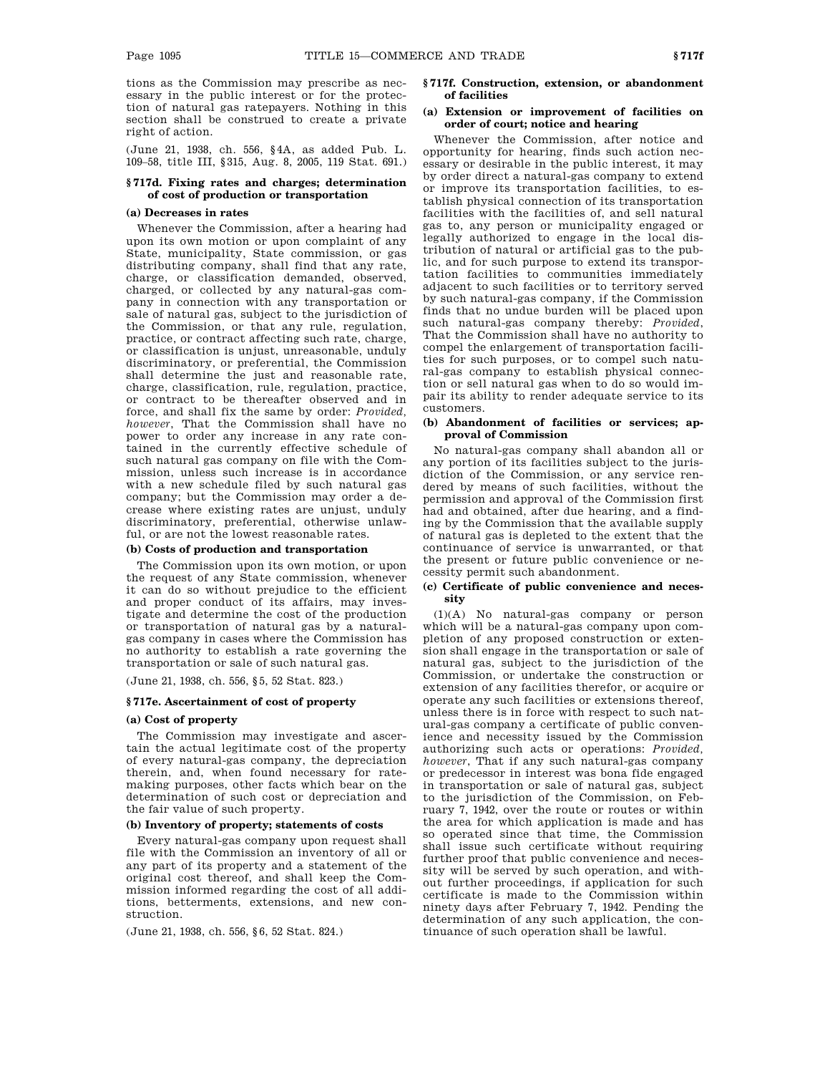tions as the Commission may prescribe as necessary in the public interest or for the protection of natural gas ratepayers. Nothing in this section shall be construed to create a private right of action.

(June 21, 1938, ch. 556, §4A, as added Pub. L. 109–58, title III, §315, Aug. 8, 2005, 119 Stat. 691.)

## **§ 717d. Fixing rates and charges; determination of cost of production or transportation**

## **(a) Decreases in rates**

Whenever the Commission, after a hearing had upon its own motion or upon complaint of any State, municipality, State commission, or gas distributing company, shall find that any rate, charge, or classification demanded, observed, charged, or collected by any natural-gas company in connection with any transportation or sale of natural gas, subject to the jurisdiction of the Commission, or that any rule, regulation, practice, or contract affecting such rate, charge, or classification is unjust, unreasonable, unduly discriminatory, or preferential, the Commission shall determine the just and reasonable rate, charge, classification, rule, regulation, practice, or contract to be thereafter observed and in force, and shall fix the same by order: *Provided, however*, That the Commission shall have no power to order any increase in any rate contained in the currently effective schedule of such natural gas company on file with the Commission, unless such increase is in accordance with a new schedule filed by such natural gas company; but the Commission may order a decrease where existing rates are unjust, unduly discriminatory, preferential, otherwise unlawful, or are not the lowest reasonable rates.

### **(b) Costs of production and transportation**

The Commission upon its own motion, or upon the request of any State commission, whenever it can do so without prejudice to the efficient and proper conduct of its affairs, may investigate and determine the cost of the production or transportation of natural gas by a naturalgas company in cases where the Commission has no authority to establish a rate governing the transportation or sale of such natural gas.

(June 21, 1938, ch. 556, §5, 52 Stat. 823.)

### **§ 717e. Ascertainment of cost of property**

### **(a) Cost of property**

The Commission may investigate and ascertain the actual legitimate cost of the property of every natural-gas company, the depreciation therein, and, when found necessary for ratemaking purposes, other facts which bear on the determination of such cost or depreciation and the fair value of such property.

### **(b) Inventory of property; statements of costs**

Every natural-gas company upon request shall file with the Commission an inventory of all or any part of its property and a statement of the original cost thereof, and shall keep the Commission informed regarding the cost of all additions, betterments, extensions, and new construction.

(June 21, 1938, ch. 556, §6, 52 Stat. 824.)

## **§ 717f. Construction, extension, or abandonment of facilities**

## **(a) Extension or improvement of facilities on order of court; notice and hearing**

Whenever the Commission, after notice and opportunity for hearing, finds such action necessary or desirable in the public interest, it may by order direct a natural-gas company to extend or improve its transportation facilities, to establish physical connection of its transportation facilities with the facilities of, and sell natural gas to, any person or municipality engaged or legally authorized to engage in the local distribution of natural or artificial gas to the public, and for such purpose to extend its transportation facilities to communities immediately adjacent to such facilities or to territory served by such natural-gas company, if the Commission finds that no undue burden will be placed upon such natural-gas company thereby: *Provided*, That the Commission shall have no authority to compel the enlargement of transportation facilities for such purposes, or to compel such natural-gas company to establish physical connection or sell natural gas when to do so would impair its ability to render adequate service to its customers.

## **(b) Abandonment of facilities or services; approval of Commission**

No natural-gas company shall abandon all or any portion of its facilities subject to the jurisdiction of the Commission, or any service rendered by means of such facilities, without the permission and approval of the Commission first had and obtained, after due hearing, and a finding by the Commission that the available supply of natural gas is depleted to the extent that the continuance of service is unwarranted, or that the present or future public convenience or necessity permit such abandonment.

## **(c) Certificate of public convenience and necessity**

(1)(A) No natural-gas company or person which will be a natural-gas company upon completion of any proposed construction or extension shall engage in the transportation or sale of natural gas, subject to the jurisdiction of the Commission, or undertake the construction or extension of any facilities therefor, or acquire or operate any such facilities or extensions thereof, unless there is in force with respect to such natural-gas company a certificate of public convenience and necessity issued by the Commission authorizing such acts or operations: *Provided, however*, That if any such natural-gas company or predecessor in interest was bona fide engaged in transportation or sale of natural gas, subject to the jurisdiction of the Commission, on February 7, 1942, over the route or routes or within the area for which application is made and has so operated since that time, the Commission shall issue such certificate without requiring further proof that public convenience and necessity will be served by such operation, and without further proceedings, if application for such certificate is made to the Commission within ninety days after February 7, 1942. Pending the determination of any such application, the continuance of such operation shall be lawful.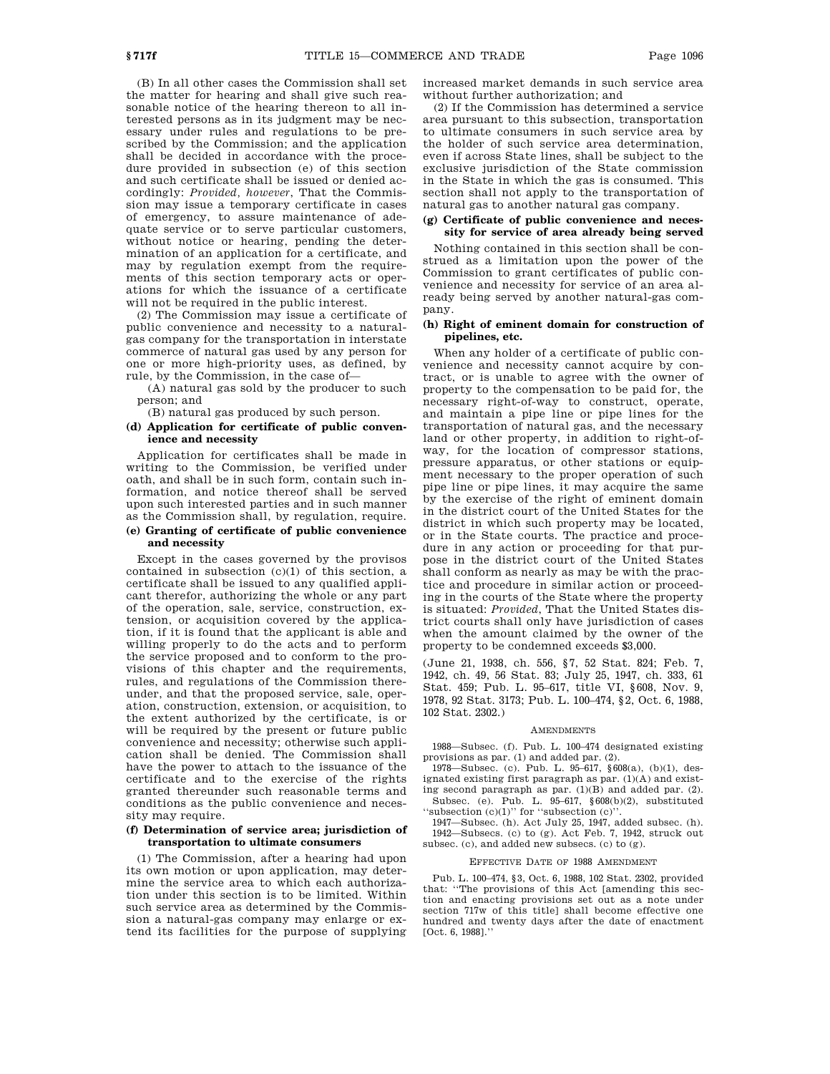(B) In all other cases the Commission shall set the matter for hearing and shall give such reasonable notice of the hearing thereon to all interested persons as in its judgment may be necessary under rules and regulations to be prescribed by the Commission; and the application shall be decided in accordance with the procedure provided in subsection (e) of this section and such certificate shall be issued or denied accordingly: *Provided, however*, That the Commission may issue a temporary certificate in cases of emergency, to assure maintenance of adequate service or to serve particular customers, without notice or hearing, pending the determination of an application for a certificate, and may by regulation exempt from the requirements of this section temporary acts or operations for which the issuance of a certificate will not be required in the public interest.

(2) The Commission may issue a certificate of public convenience and necessity to a naturalgas company for the transportation in interstate commerce of natural gas used by any person for one or more high-priority uses, as defined, by rule, by the Commission, in the case of—

(A) natural gas sold by the producer to such person; and

(B) natural gas produced by such person.

## **(d) Application for certificate of public convenience and necessity**

Application for certificates shall be made in writing to the Commission, be verified under oath, and shall be in such form, contain such information, and notice thereof shall be served upon such interested parties and in such manner as the Commission shall, by regulation, require.

## **(e) Granting of certificate of public convenience and necessity**

Except in the cases governed by the provisos contained in subsection (c)(1) of this section, a certificate shall be issued to any qualified applicant therefor, authorizing the whole or any part of the operation, sale, service, construction, extension, or acquisition covered by the application, if it is found that the applicant is able and willing properly to do the acts and to perform the service proposed and to conform to the provisions of this chapter and the requirements, rules, and regulations of the Commission thereunder, and that the proposed service, sale, operation, construction, extension, or acquisition, to the extent authorized by the certificate, is or will be required by the present or future public convenience and necessity; otherwise such application shall be denied. The Commission shall have the power to attach to the issuance of the certificate and to the exercise of the rights granted thereunder such reasonable terms and conditions as the public convenience and necessity may require.

### **(f) Determination of service area; jurisdiction of transportation to ultimate consumers**

(1) The Commission, after a hearing had upon its own motion or upon application, may determine the service area to which each authorization under this section is to be limited. Within such service area as determined by the Commission a natural-gas company may enlarge or extend its facilities for the purpose of supplying increased market demands in such service area without further authorization; and

(2) If the Commission has determined a service area pursuant to this subsection, transportation to ultimate consumers in such service area by the holder of such service area determination, even if across State lines, shall be subject to the exclusive jurisdiction of the State commission in the State in which the gas is consumed. This section shall not apply to the transportation of natural gas to another natural gas company.

## **(g) Certificate of public convenience and necessity for service of area already being served**

Nothing contained in this section shall be construed as a limitation upon the power of the Commission to grant certificates of public convenience and necessity for service of an area already being served by another natural-gas company.

## **(h) Right of eminent domain for construction of pipelines, etc.**

When any holder of a certificate of public convenience and necessity cannot acquire by contract, or is unable to agree with the owner of property to the compensation to be paid for, the necessary right-of-way to construct, operate, and maintain a pipe line or pipe lines for the transportation of natural gas, and the necessary land or other property, in addition to right-ofway, for the location of compressor stations, pressure apparatus, or other stations or equipment necessary to the proper operation of such pipe line or pipe lines, it may acquire the same by the exercise of the right of eminent domain in the district court of the United States for the district in which such property may be located, or in the State courts. The practice and procedure in any action or proceeding for that purpose in the district court of the United States shall conform as nearly as may be with the practice and procedure in similar action or proceeding in the courts of the State where the property is situated: *Provided*, That the United States district courts shall only have jurisdiction of cases when the amount claimed by the owner of the property to be condemned exceeds \$3,000.

(June 21, 1938, ch. 556, §7, 52 Stat. 824; Feb. 7, 1942, ch. 49, 56 Stat. 83; July 25, 1947, ch. 333, 61 Stat. 459; Pub. L. 95–617, title VI, §608, Nov. 9, 1978, 92 Stat. 3173; Pub. L. 100–474, §2, Oct. 6, 1988, 102 Stat. 2302.)

#### **AMENDMENTS**

1988—Subsec. (f). Pub. L. 100–474 designated existing provisions as par. (1) and added par. (2).

1978—Subsec. (c). Pub. L. 95–617, §608(a), (b)(1), designated existing first paragraph as par. (1)(A) and exist-

ing second paragraph as par. (1)(B) and added par. (2). Subsec. (e). Pub. L. 95–617, §608(b)(2), substituted "subsection  $(c)(1)$ " for "subsection  $(c)$ "

1947—Subsec. (h). Act July 25, 1947, added subsec. (h). 1942—Subsecs. (c) to (g). Act Feb. 7, 1942, struck out subsec. (c), and added new subsecs. (c) to (g).

#### EFFECTIVE DATE OF 1988 AMENDMENT

Pub. L. 100–474, §3, Oct. 6, 1988, 102 Stat. 2302, provided The provisions of this Act [amending this section and enacting provisions set out as a note under section 717w of this title] shall become effective one hundred and twenty days after the date of enactment [Oct. 6, 1988].'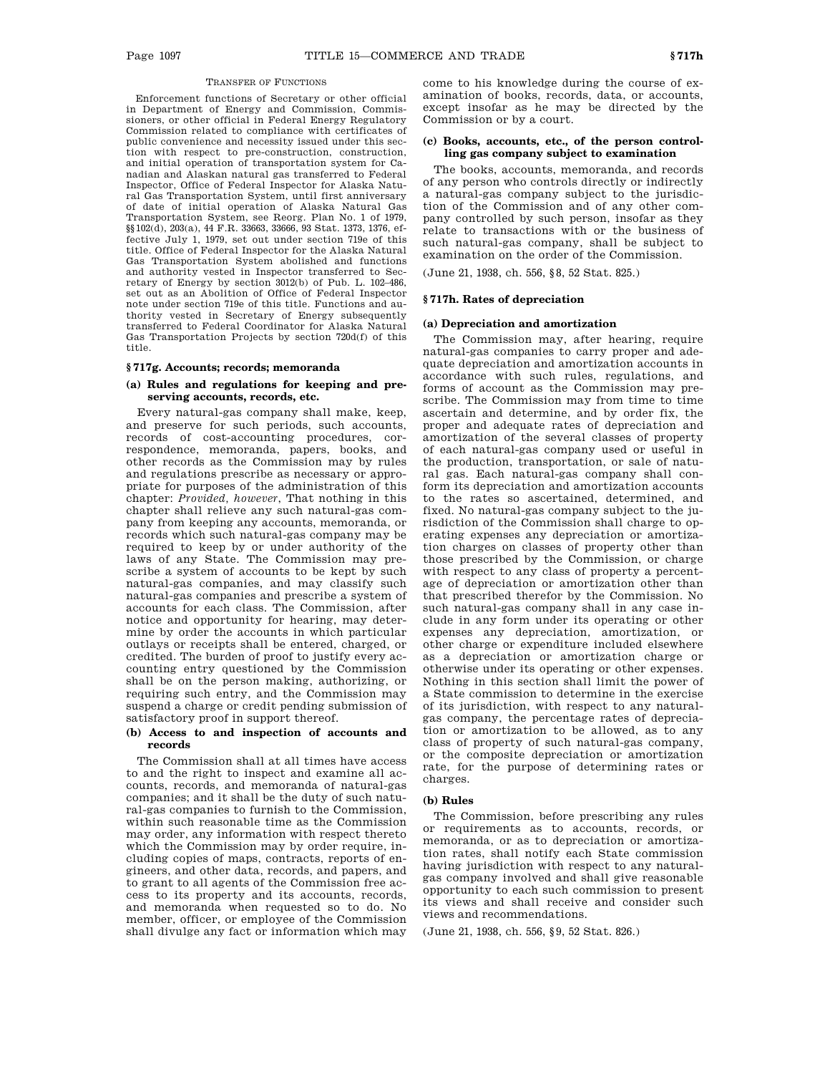### TRANSFER OF FUNCTIONS

Enforcement functions of Secretary or other official in Department of Energy and Commission, Commissioners, or other official in Federal Energy Regulatory Commission related to compliance with certificates of public convenience and necessity issued under this section with respect to pre-construction, construction, and initial operation of transportation system for Canadian and Alaskan natural gas transferred to Federal Inspector, Office of Federal Inspector for Alaska Natural Gas Transportation System, until first anniversary of date of initial operation of Alaska Natural Gas Transportation System, see Reorg. Plan No. 1 of 1979, §§102(d), 203(a), 44 F.R. 33663, 33666, 93 Stat. 1373, 1376, effective July 1, 1979, set out under section 719e of this title. Office of Federal Inspector for the Alaska Natural Gas Transportation System abolished and functions and authority vested in Inspector transferred to Secretary of Energy by section 3012(b) of Pub. L. 102–486, set out as an Abolition of Office of Federal Inspector note under section 719e of this title. Functions and authority vested in Secretary of Energy subsequently transferred to Federal Coordinator for Alaska Natural Gas Transportation Projects by section 720d(f) of this title.

### **§ 717g. Accounts; records; memoranda**

## **(a) Rules and regulations for keeping and preserving accounts, records, etc.**

Every natural-gas company shall make, keep, and preserve for such periods, such accounts, records of cost-accounting procedures, correspondence, memoranda, papers, books, and other records as the Commission may by rules and regulations prescribe as necessary or appropriate for purposes of the administration of this chapter: *Provided, however*, That nothing in this chapter shall relieve any such natural-gas company from keeping any accounts, memoranda, or records which such natural-gas company may be required to keep by or under authority of the laws of any State. The Commission may prescribe a system of accounts to be kept by such natural-gas companies, and may classify such natural-gas companies and prescribe a system of accounts for each class. The Commission, after notice and opportunity for hearing, may determine by order the accounts in which particular outlays or receipts shall be entered, charged, or credited. The burden of proof to justify every accounting entry questioned by the Commission shall be on the person making, authorizing, or requiring such entry, and the Commission may suspend a charge or credit pending submission of satisfactory proof in support thereof.

### **(b) Access to and inspection of accounts and records**

The Commission shall at all times have access to and the right to inspect and examine all accounts, records, and memoranda of natural-gas companies; and it shall be the duty of such natural-gas companies to furnish to the Commission, within such reasonable time as the Commission may order, any information with respect thereto which the Commission may by order require, including copies of maps, contracts, reports of engineers, and other data, records, and papers, and to grant to all agents of the Commission free access to its property and its accounts, records, and memoranda when requested so to do. No member, officer, or employee of the Commission shall divulge any fact or information which may

come to his knowledge during the course of examination of books, records, data, or accounts, except insofar as he may be directed by the Commission or by a court.

## **(c) Books, accounts, etc., of the person controlling gas company subject to examination**

The books, accounts, memoranda, and records of any person who controls directly or indirectly a natural-gas company subject to the jurisdiction of the Commission and of any other company controlled by such person, insofar as they relate to transactions with or the business of such natural-gas company, shall be subject to examination on the order of the Commission.

(June 21, 1938, ch. 556, §8, 52 Stat. 825.)

### **§ 717h. Rates of depreciation**

#### **(a) Depreciation and amortization**

The Commission may, after hearing, require natural-gas companies to carry proper and adequate depreciation and amortization accounts in accordance with such rules, regulations, and forms of account as the Commission may prescribe. The Commission may from time to time ascertain and determine, and by order fix, the proper and adequate rates of depreciation and amortization of the several classes of property of each natural-gas company used or useful in the production, transportation, or sale of natural gas. Each natural-gas company shall conform its depreciation and amortization accounts to the rates so ascertained, determined, and fixed. No natural-gas company subject to the jurisdiction of the Commission shall charge to operating expenses any depreciation or amortization charges on classes of property other than those prescribed by the Commission, or charge with respect to any class of property a percentage of depreciation or amortization other than that prescribed therefor by the Commission. No such natural-gas company shall in any case include in any form under its operating or other expenses any depreciation, amortization, or other charge or expenditure included elsewhere as a depreciation or amortization charge or otherwise under its operating or other expenses. Nothing in this section shall limit the power of a State commission to determine in the exercise of its jurisdiction, with respect to any naturalgas company, the percentage rates of depreciation or amortization to be allowed, as to any class of property of such natural-gas company, or the composite depreciation or amortization rate, for the purpose of determining rates or charges.

### **(b) Rules**

The Commission, before prescribing any rules or requirements as to accounts, records, or memoranda, or as to depreciation or amortization rates, shall notify each State commission having jurisdiction with respect to any naturalgas company involved and shall give reasonable opportunity to each such commission to present its views and shall receive and consider such views and recommendations.

(June 21, 1938, ch. 556, §9, 52 Stat. 826.)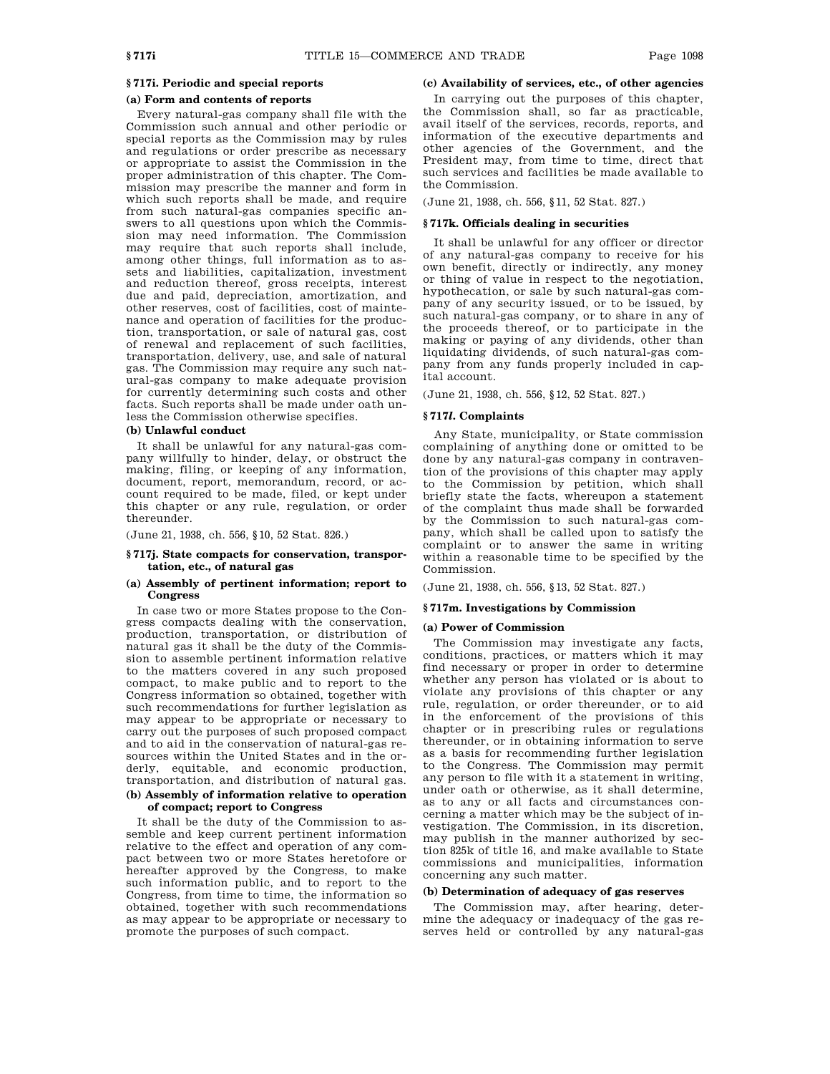## **§ 717i. Periodic and special reports**

### **(a) Form and contents of reports**

Every natural-gas company shall file with the Commission such annual and other periodic or special reports as the Commission may by rules and regulations or order prescribe as necessary or appropriate to assist the Commission in the proper administration of this chapter. The Commission may prescribe the manner and form in which such reports shall be made, and require from such natural-gas companies specific answers to all questions upon which the Commission may need information. The Commission may require that such reports shall include, among other things, full information as to assets and liabilities, capitalization, investment and reduction thereof, gross receipts, interest due and paid, depreciation, amortization, and other reserves, cost of facilities, cost of maintenance and operation of facilities for the production, transportation, or sale of natural gas, cost of renewal and replacement of such facilities, transportation, delivery, use, and sale of natural gas. The Commission may require any such natural-gas company to make adequate provision for currently determining such costs and other facts. Such reports shall be made under oath unless the Commission otherwise specifies.

## **(b) Unlawful conduct**

It shall be unlawful for any natural-gas company willfully to hinder, delay, or obstruct the making, filing, or keeping of any information, document, report, memorandum, record, or account required to be made, filed, or kept under this chapter or any rule, regulation, or order thereunder.

(June 21, 1938, ch. 556, §10, 52 Stat. 826.)

## **§ 717j. State compacts for conservation, transportation, etc., of natural gas**

## **(a) Assembly of pertinent information; report to Congress**

In case two or more States propose to the Congress compacts dealing with the conservation, production, transportation, or distribution of natural gas it shall be the duty of the Commission to assemble pertinent information relative to the matters covered in any such proposed compact, to make public and to report to the Congress information so obtained, together with such recommendations for further legislation as may appear to be appropriate or necessary to carry out the purposes of such proposed compact and to aid in the conservation of natural-gas resources within the United States and in the orderly, equitable, and economic production, transportation, and distribution of natural gas. **(b) Assembly of information relative to operation**

# **of compact; report to Congress**

It shall be the duty of the Commission to assemble and keep current pertinent information relative to the effect and operation of any compact between two or more States heretofore or hereafter approved by the Congress, to make such information public, and to report to the Congress, from time to time, the information so obtained, together with such recommendations as may appear to be appropriate or necessary to promote the purposes of such compact.

## **(c) Availability of services, etc., of other agencies**

In carrying out the purposes of this chapter, the Commission shall, so far as practicable, avail itself of the services, records, reports, and information of the executive departments and other agencies of the Government, and the President may, from time to time, direct that such services and facilities be made available to the Commission.

(June 21, 1938, ch. 556, §11, 52 Stat. 827.)

### **§ 717k. Officials dealing in securities**

It shall be unlawful for any officer or director of any natural-gas company to receive for his own benefit, directly or indirectly, any money or thing of value in respect to the negotiation, hypothecation, or sale by such natural-gas company of any security issued, or to be issued, by such natural-gas company, or to share in any of the proceeds thereof, or to participate in the making or paying of any dividends, other than liquidating dividends, of such natural-gas company from any funds properly included in capital account.

(June 21, 1938, ch. 556, §12, 52 Stat. 827.)

## **§ 717***l***. Complaints**

Any State, municipality, or State commission complaining of anything done or omitted to be done by any natural-gas company in contravention of the provisions of this chapter may apply to the Commission by petition, which shall briefly state the facts, whereupon a statement of the complaint thus made shall be forwarded by the Commission to such natural-gas company, which shall be called upon to satisfy the complaint or to answer the same in writing within a reasonable time to be specified by the Commission.

(June 21, 1938, ch. 556, §13, 52 Stat. 827.)

### **§ 717m. Investigations by Commission**

## **(a) Power of Commission**

The Commission may investigate any facts, conditions, practices, or matters which it may find necessary or proper in order to determine whether any person has violated or is about to violate any provisions of this chapter or any rule, regulation, or order thereunder, or to aid in the enforcement of the provisions of this chapter or in prescribing rules or regulations thereunder, or in obtaining information to serve as a basis for recommending further legislation to the Congress. The Commission may permit any person to file with it a statement in writing, under oath or otherwise, as it shall determine, as to any or all facts and circumstances concerning a matter which may be the subject of investigation. The Commission, in its discretion, may publish in the manner authorized by section 825k of title 16, and make available to State commissions and municipalities, information concerning any such matter.

#### **(b) Determination of adequacy of gas reserves**

The Commission may, after hearing, determine the adequacy or inadequacy of the gas reserves held or controlled by any natural-gas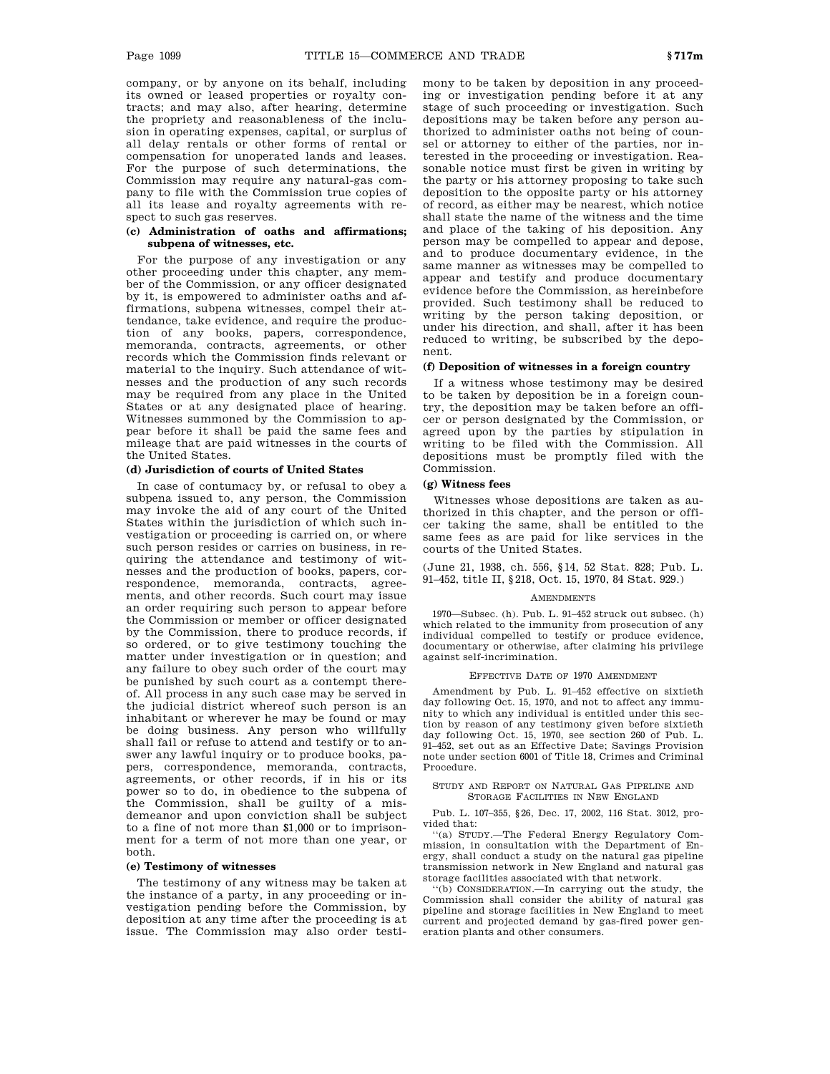company, or by anyone on its behalf, including its owned or leased properties or royalty contracts; and may also, after hearing, determine the propriety and reasonableness of the inclusion in operating expenses, capital, or surplus of all delay rentals or other forms of rental or compensation for unoperated lands and leases. For the purpose of such determinations, the Commission may require any natural-gas company to file with the Commission true copies of all its lease and royalty agreements with respect to such gas reserves.

## **(c) Administration of oaths and affirmations; subpena of witnesses, etc.**

For the purpose of any investigation or any other proceeding under this chapter, any member of the Commission, or any officer designated by it, is empowered to administer oaths and affirmations, subpena witnesses, compel their attendance, take evidence, and require the production of any books, papers, correspondence, memoranda, contracts, agreements, or other records which the Commission finds relevant or material to the inquiry. Such attendance of witnesses and the production of any such records may be required from any place in the United States or at any designated place of hearing. Witnesses summoned by the Commission to appear before it shall be paid the same fees and mileage that are paid witnesses in the courts of the United States.

## **(d) Jurisdiction of courts of United States**

In case of contumacy by, or refusal to obey a subpena issued to, any person, the Commission may invoke the aid of any court of the United States within the jurisdiction of which such investigation or proceeding is carried on, or where such person resides or carries on business, in requiring the attendance and testimony of witnesses and the production of books, papers, correspondence, memoranda, contracts, agreements, and other records. Such court may issue an order requiring such person to appear before the Commission or member or officer designated by the Commission, there to produce records, if so ordered, or to give testimony touching the matter under investigation or in question; and any failure to obey such order of the court may be punished by such court as a contempt thereof. All process in any such case may be served in the judicial district whereof such person is an inhabitant or wherever he may be found or may be doing business. Any person who willfully shall fail or refuse to attend and testify or to answer any lawful inquiry or to produce books, papers, correspondence, memoranda, contracts, agreements, or other records, if in his or its power so to do, in obedience to the subpena of the Commission, shall be guilty of a misdemeanor and upon conviction shall be subject to a fine of not more than \$1,000 or to imprisonment for a term of not more than one year, or both.

## **(e) Testimony of witnesses**

The testimony of any witness may be taken at the instance of a party, in any proceeding or investigation pending before the Commission, by deposition at any time after the proceeding is at issue. The Commission may also order testimony to be taken by deposition in any proceeding or investigation pending before it at any stage of such proceeding or investigation. Such depositions may be taken before any person authorized to administer oaths not being of counsel or attorney to either of the parties, nor interested in the proceeding or investigation. Reasonable notice must first be given in writing by the party or his attorney proposing to take such deposition to the opposite party or his attorney of record, as either may be nearest, which notice shall state the name of the witness and the time and place of the taking of his deposition. Any person may be compelled to appear and depose, and to produce documentary evidence, in the same manner as witnesses may be compelled to appear and testify and produce documentary evidence before the Commission, as hereinbefore provided. Such testimony shall be reduced to writing by the person taking deposition, or under his direction, and shall, after it has been reduced to writing, be subscribed by the deponent.

### **(f) Deposition of witnesses in a foreign country**

If a witness whose testimony may be desired to be taken by deposition be in a foreign country, the deposition may be taken before an officer or person designated by the Commission, or agreed upon by the parties by stipulation in writing to be filed with the Commission. All depositions must be promptly filed with the Commission.

## **(g) Witness fees**

Witnesses whose depositions are taken as authorized in this chapter, and the person or officer taking the same, shall be entitled to the same fees as are paid for like services in the courts of the United States.

(June 21, 1938, ch. 556, §14, 52 Stat. 828; Pub. L. 91–452, title II, §218, Oct. 15, 1970, 84 Stat. 929.)

#### **AMENDMENTS**

1970—Subsec. (h). Pub. L. 91–452 struck out subsec. (h) which related to the immunity from prosecution of any individual compelled to testify or produce evidence, documentary or otherwise, after claiming his privilege against self-incrimination.

#### EFFECTIVE DATE OF 1970 AMENDMENT

Amendment by Pub. L. 91–452 effective on sixtieth day following Oct. 15, 1970, and not to affect any immunity to which any individual is entitled under this section by reason of any testimony given before sixtieth day following Oct. 15, 1970, see section 260 of Pub. L. 91–452, set out as an Effective Date; Savings Provision note under section 6001 of Title 18, Crimes and Criminal Procedure.

### STUDY AND REPORT ON NATURAL GAS PIPELINE AND STORAGE FACILITIES IN NEW ENGLAND

Pub. L. 107–355, §26, Dec. 17, 2002, 116 Stat. 3012, provided that:

''(a) STUDY.—The Federal Energy Regulatory Commission, in consultation with the Department of Energy, shall conduct a study on the natural gas pipeline transmission network in New England and natural gas storage facilities associated with that network.

''(b) CONSIDERATION.—In carrying out the study, the Commission shall consider the ability of natural gas pipeline and storage facilities in New England to meet current and projected demand by gas-fired power generation plants and other consumers.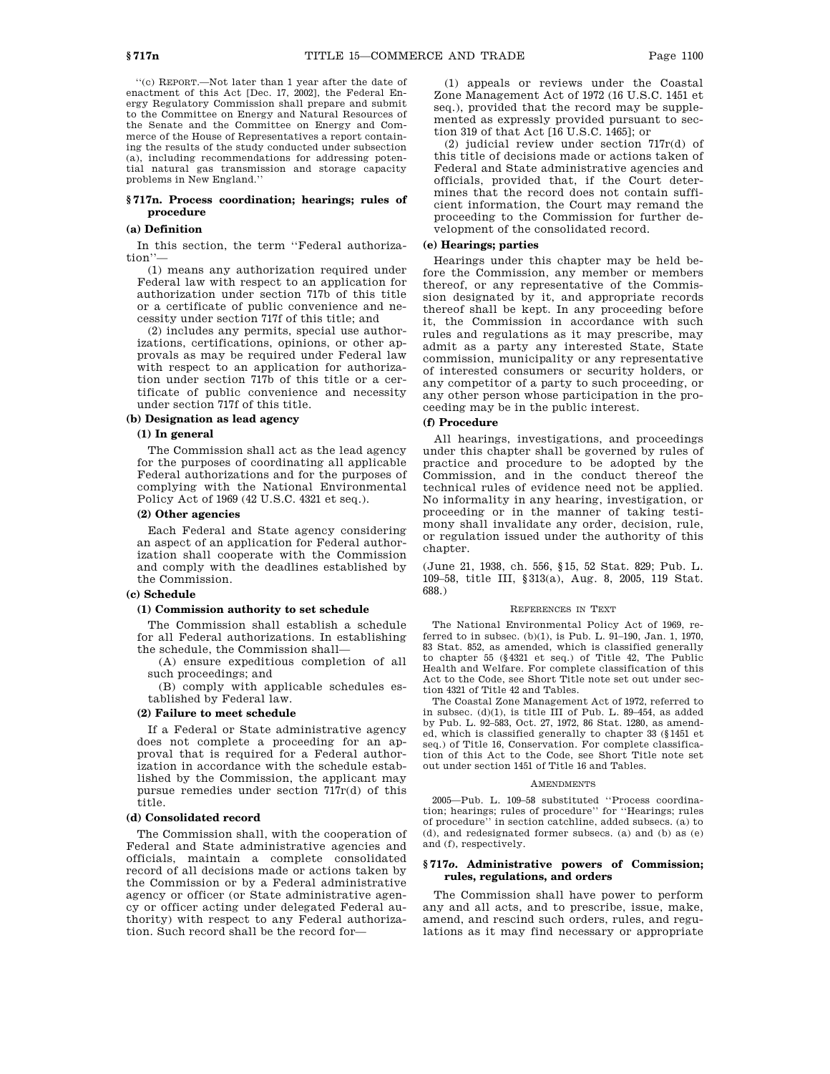''(c) REPORT.—Not later than 1 year after the date of enactment of this Act [Dec. 17, 2002], the Federal Energy Regulatory Commission shall prepare and submit to the Committee on Energy and Natural Resources of the Senate and the Committee on Energy and Commerce of the House of Representatives a report containing the results of the study conducted under subsection (a), including recommendations for addressing potential natural gas transmission and storage capacity problems in New England.''

## **§ 717n. Process coordination; hearings; rules of procedure**

## **(a) Definition**

In this section, the term ''Federal authorization''.

(1) means any authorization required under Federal law with respect to an application for authorization under section 717b of this title or a certificate of public convenience and necessity under section 717f of this title; and

(2) includes any permits, special use authorizations, certifications, opinions, or other approvals as may be required under Federal law with respect to an application for authorization under section 717b of this title or a certificate of public convenience and necessity under section 717f of this title.

## **(b) Designation as lead agency**

## **(1) In general**

The Commission shall act as the lead agency for the purposes of coordinating all applicable Federal authorizations and for the purposes of complying with the National Environmental Policy Act of 1969 (42 U.S.C. 4321 et seq.).

### **(2) Other agencies**

Each Federal and State agency considering an aspect of an application for Federal authorization shall cooperate with the Commission and comply with the deadlines established by the Commission.

## **(c) Schedule**

#### **(1) Commission authority to set schedule**

The Commission shall establish a schedule for all Federal authorizations. In establishing the schedule, the Commission shall—

(A) ensure expeditious completion of all such proceedings; and

(B) comply with applicable schedules established by Federal law.

## **(2) Failure to meet schedule**

If a Federal or State administrative agency does not complete a proceeding for an approval that is required for a Federal authorization in accordance with the schedule established by the Commission, the applicant may pursue remedies under section 717r(d) of this title.

#### **(d) Consolidated record**

The Commission shall, with the cooperation of Federal and State administrative agencies and officials, maintain a complete consolidated record of all decisions made or actions taken by the Commission or by a Federal administrative agency or officer (or State administrative agency or officer acting under delegated Federal authority) with respect to any Federal authorization. Such record shall be the record for—

(1) appeals or reviews under the Coastal Zone Management Act of 1972 (16 U.S.C. 1451 et seq.), provided that the record may be supplemented as expressly provided pursuant to section 319 of that Act [16 U.S.C. 1465]; or

(2) judicial review under section 717r(d) of this title of decisions made or actions taken of Federal and State administrative agencies and officials, provided that, if the Court determines that the record does not contain sufficient information, the Court may remand the proceeding to the Commission for further development of the consolidated record.

## **(e) Hearings; parties**

Hearings under this chapter may be held before the Commission, any member or members thereof, or any representative of the Commission designated by it, and appropriate records thereof shall be kept. In any proceeding before it, the Commission in accordance with such rules and regulations as it may prescribe, may admit as a party any interested State, State commission, municipality or any representative of interested consumers or security holders, or any competitor of a party to such proceeding, or any other person whose participation in the proceeding may be in the public interest.

## **(f) Procedure**

All hearings, investigations, and proceedings under this chapter shall be governed by rules of practice and procedure to be adopted by the Commission, and in the conduct thereof the technical rules of evidence need not be applied. No informality in any hearing, investigation, or proceeding or in the manner of taking testimony shall invalidate any order, decision, rule, or regulation issued under the authority of this chapter.

(June 21, 1938, ch. 556, §15, 52 Stat. 829; Pub. L. 109–58, title III, §313(a), Aug. 8, 2005, 119 Stat. 688.)

#### REFERENCES IN TEXT

The National Environmental Policy Act of 1969, referred to in subsec. (b)(1), is Pub. L. 91–190, Jan. 1, 1970, 83 Stat. 852, as amended, which is classified generally to chapter 55 (§4321 et seq.) of Title 42, The Public Health and Welfare. For complete classification of this Act to the Code, see Short Title note set out under section 4321 of Title 42 and Tables.

The Coastal Zone Management Act of 1972, referred to in subsec. (d)(1), is title III of Pub. L. 89–454, as added by Pub. L. 92–583, Oct. 27, 1972, 86 Stat. 1280, as amended, which is classified generally to chapter 33 (§1451 et seq.) of Title 16, Conservation. For complete classification of this Act to the Code, see Short Title note set out under section 1451 of Title 16 and Tables.

### **AMENDMENTS**

2005—Pub. L. 109–58 substituted ''Process coordination; hearings; rules of procedure'' for ''Hearings; rules of procedure'' in section catchline, added subsecs. (a) to (d), and redesignated former subsecs. (a) and (b) as (e) and (f), respectively.

## **§ 717***o***. Administrative powers of Commission; rules, regulations, and orders**

The Commission shall have power to perform any and all acts, and to prescribe, issue, make, amend, and rescind such orders, rules, and regulations as it may find necessary or appropriate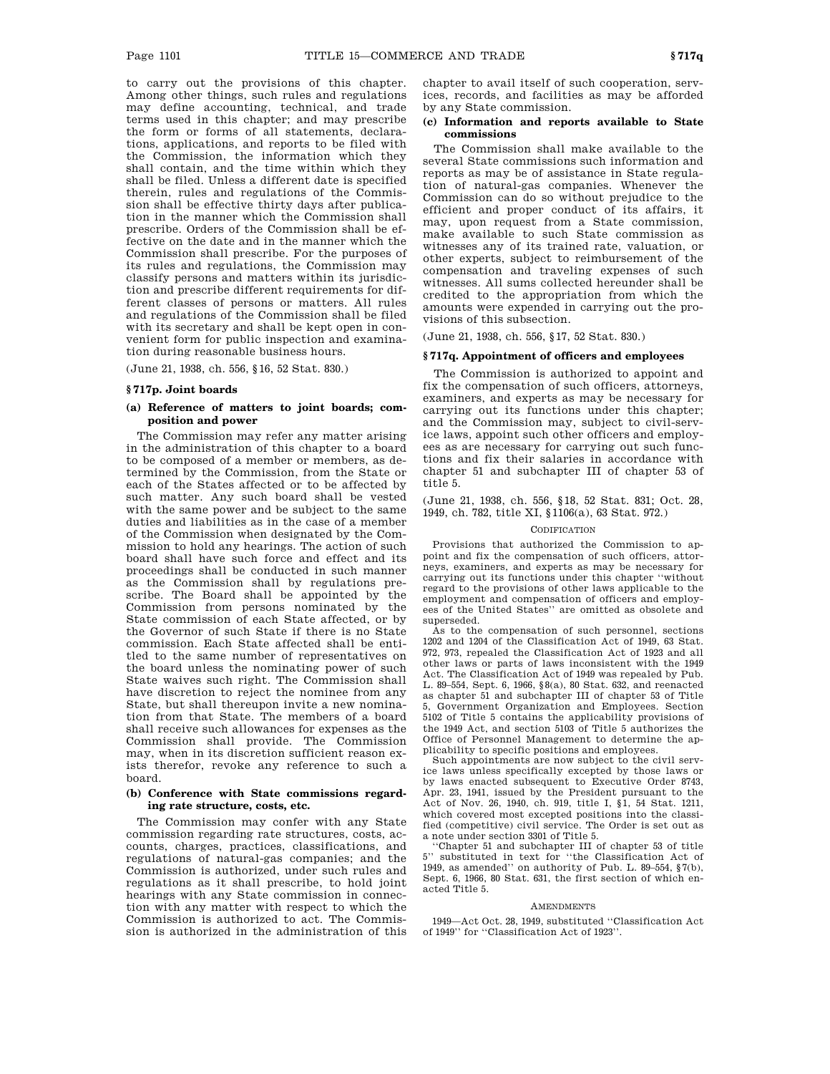to carry out the provisions of this chapter. Among other things, such rules and regulations may define accounting, technical, and trade terms used in this chapter; and may prescribe the form or forms of all statements, declarations, applications, and reports to be filed with the Commission, the information which they shall contain, and the time within which they shall be filed. Unless a different date is specified therein, rules and regulations of the Commission shall be effective thirty days after publication in the manner which the Commission shall prescribe. Orders of the Commission shall be effective on the date and in the manner which the Commission shall prescribe. For the purposes of its rules and regulations, the Commission may classify persons and matters within its jurisdiction and prescribe different requirements for different classes of persons or matters. All rules and regulations of the Commission shall be filed with its secretary and shall be kept open in convenient form for public inspection and examination during reasonable business hours.

(June 21, 1938, ch. 556, §16, 52 Stat. 830.)

### **§ 717p. Joint boards**

## **(a) Reference of matters to joint boards; composition and power**

The Commission may refer any matter arising in the administration of this chapter to a board to be composed of a member or members, as determined by the Commission, from the State or each of the States affected or to be affected by such matter. Any such board shall be vested with the same power and be subject to the same duties and liabilities as in the case of a member of the Commission when designated by the Commission to hold any hearings. The action of such board shall have such force and effect and its proceedings shall be conducted in such manner as the Commission shall by regulations prescribe. The Board shall be appointed by the Commission from persons nominated by the State commission of each State affected, or by the Governor of such State if there is no State commission. Each State affected shall be entitled to the same number of representatives on the board unless the nominating power of such State waives such right. The Commission shall have discretion to reject the nominee from any State, but shall thereupon invite a new nomination from that State. The members of a board shall receive such allowances for expenses as the Commission shall provide. The Commission may, when in its discretion sufficient reason exists therefor, revoke any reference to such a board.

## **(b) Conference with State commissions regarding rate structure, costs, etc.**

The Commission may confer with any State commission regarding rate structures, costs, accounts, charges, practices, classifications, and regulations of natural-gas companies; and the Commission is authorized, under such rules and regulations as it shall prescribe, to hold joint hearings with any State commission in connection with any matter with respect to which the Commission is authorized to act. The Commission is authorized in the administration of this chapter to avail itself of such cooperation, services, records, and facilities as may be afforded by any State commission.

## **(c) Information and reports available to State commissions**

The Commission shall make available to the several State commissions such information and reports as may be of assistance in State regulation of natural-gas companies. Whenever the Commission can do so without prejudice to the efficient and proper conduct of its affairs, it may, upon request from a State commission, make available to such State commission as witnesses any of its trained rate, valuation, or other experts, subject to reimbursement of the compensation and traveling expenses of such witnesses. All sums collected hereunder shall be credited to the appropriation from which the amounts were expended in carrying out the provisions of this subsection.

(June 21, 1938, ch. 556, §17, 52 Stat. 830.)

### **§ 717q. Appointment of officers and employees**

The Commission is authorized to appoint and fix the compensation of such officers, attorneys, examiners, and experts as may be necessary for carrying out its functions under this chapter; and the Commission may, subject to civil-service laws, appoint such other officers and employees as are necessary for carrying out such functions and fix their salaries in accordance with chapter 51 and subchapter III of chapter 53 of title 5.

(June 21, 1938, ch. 556, §18, 52 Stat. 831; Oct. 28, 1949, ch. 782, title XI, §1106(a), 63 Stat. 972.)

### CODIFICATION

Provisions that authorized the Commission to appoint and fix the compensation of such officers, attorneys, examiners, and experts as may be necessary for carrying out its functions under this chapter ''without regard to the provisions of other laws applicable to the employment and compensation of officers and employees of the United States'' are omitted as obsolete and superseded.

As to the compensation of such personnel, sections 1202 and 1204 of the Classification Act of 1949, 63 Stat. 972, 973, repealed the Classification Act of 1923 and all other laws or parts of laws inconsistent with the 1949 Act. The Classification Act of 1949 was repealed by Pub. L. 89–554, Sept. 6, 1966, §8(a), 80 Stat. 632, and reenacted as chapter 51 and subchapter III of chapter 53 of Title 5, Government Organization and Employees. Section 5102 of Title 5 contains the applicability provisions of the 1949 Act, and section 5103 of Title 5 authorizes the Office of Personnel Management to determine the applicability to specific positions and employees.

Such appointments are now subject to the civil service laws unless specifically excepted by those laws or by laws enacted subsequent to Executive Order 8743, Apr. 23, 1941, issued by the President pursuant to the Act of Nov. 26, 1940, ch. 919, title I, §1, 54 Stat. 1211, which covered most excepted positions into the classified (competitive) civil service. The Order is set out as a note under section 3301 of Title 5.

''Chapter 51 and subchapter III of chapter 53 of title 5'' substituted in text for ''the Classification Act of 1949, as amended'' on authority of Pub. L. 89–554, §7(b), Sept. 6, 1966, 80 Stat. 631, the first section of which enacted Title 5.

### **AMENDMENTS**

1949—Act Oct. 28, 1949, substituted ''Classification Act of 1949'' for ''Classification Act of 1923''.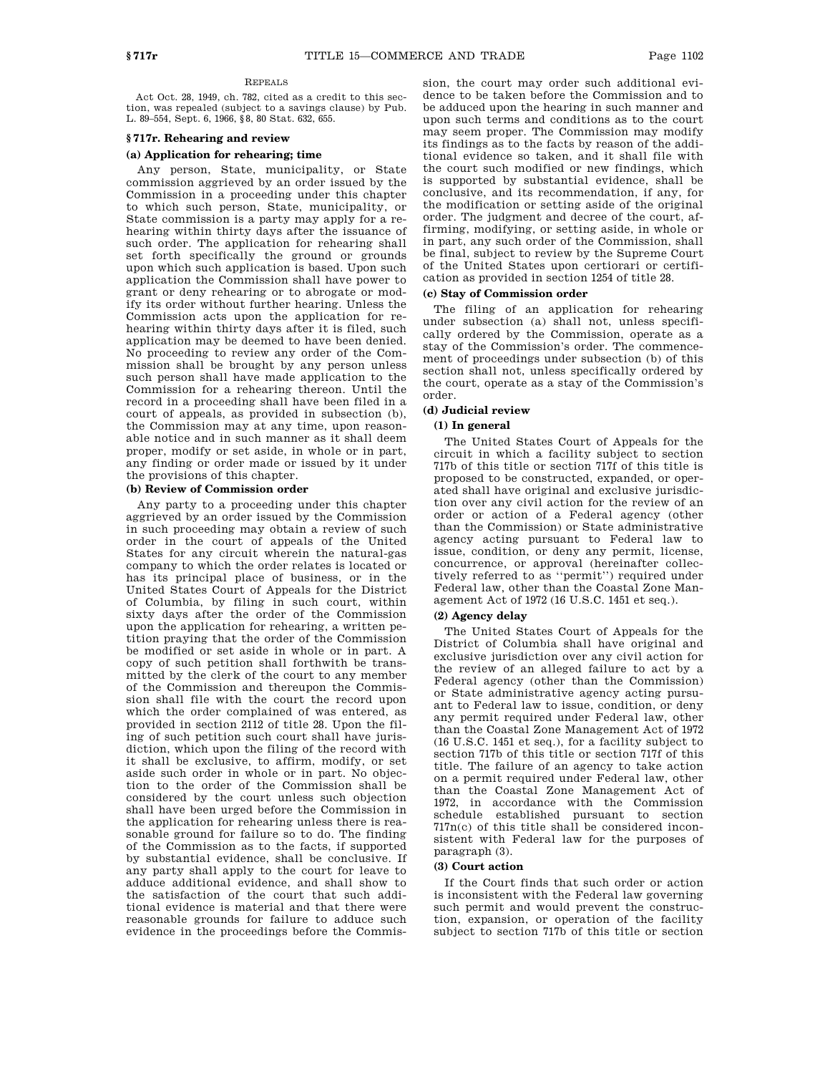## REPEALS

Act Oct. 28, 1949, ch. 782, cited as a credit to this section, was repealed (subject to a savings clause) by Pub. L. 89–554, Sept. 6, 1966, §8, 80 Stat. 632, 655.

## **§ 717r. Rehearing and review**

## **(a) Application for rehearing; time**

Any person, State, municipality, or State commission aggrieved by an order issued by the Commission in a proceeding under this chapter to which such person, State, municipality, or State commission is a party may apply for a rehearing within thirty days after the issuance of such order. The application for rehearing shall set forth specifically the ground or grounds upon which such application is based. Upon such application the Commission shall have power to grant or deny rehearing or to abrogate or modify its order without further hearing. Unless the Commission acts upon the application for rehearing within thirty days after it is filed, such application may be deemed to have been denied. No proceeding to review any order of the Commission shall be brought by any person unless such person shall have made application to the Commission for a rehearing thereon. Until the record in a proceeding shall have been filed in a court of appeals, as provided in subsection (b), the Commission may at any time, upon reasonable notice and in such manner as it shall deem proper, modify or set aside, in whole or in part, any finding or order made or issued by it under the provisions of this chapter.

## **(b) Review of Commission order**

Any party to a proceeding under this chapter aggrieved by an order issued by the Commission in such proceeding may obtain a review of such order in the court of appeals of the United States for any circuit wherein the natural-gas company to which the order relates is located or has its principal place of business, or in the United States Court of Appeals for the District of Columbia, by filing in such court, within sixty days after the order of the Commission upon the application for rehearing, a written petition praying that the order of the Commission be modified or set aside in whole or in part. A copy of such petition shall forthwith be transmitted by the clerk of the court to any member of the Commission and thereupon the Commission shall file with the court the record upon which the order complained of was entered, as provided in section 2112 of title 28. Upon the filing of such petition such court shall have jurisdiction, which upon the filing of the record with it shall be exclusive, to affirm, modify, or set aside such order in whole or in part. No objection to the order of the Commission shall be considered by the court unless such objection shall have been urged before the Commission in the application for rehearing unless there is reasonable ground for failure so to do. The finding of the Commission as to the facts, if supported by substantial evidence, shall be conclusive. If any party shall apply to the court for leave to adduce additional evidence, and shall show to the satisfaction of the court that such additional evidence is material and that there were reasonable grounds for failure to adduce such evidence in the proceedings before the Commission, the court may order such additional evidence to be taken before the Commission and to be adduced upon the hearing in such manner and upon such terms and conditions as to the court may seem proper. The Commission may modify its findings as to the facts by reason of the additional evidence so taken, and it shall file with the court such modified or new findings, which is supported by substantial evidence, shall be conclusive, and its recommendation, if any, for the modification or setting aside of the original order. The judgment and decree of the court, affirming, modifying, or setting aside, in whole or in part, any such order of the Commission, shall be final, subject to review by the Supreme Court of the United States upon certiorari or certification as provided in section 1254 of title 28.

### **(c) Stay of Commission order**

The filing of an application for rehearing under subsection (a) shall not, unless specifically ordered by the Commission, operate as a stay of the Commission's order. The commencement of proceedings under subsection (b) of this section shall not, unless specifically ordered by the court, operate as a stay of the Commission's order.

### **(d) Judicial review**

## **(1) In general**

The United States Court of Appeals for the circuit in which a facility subject to section 717b of this title or section 717f of this title is proposed to be constructed, expanded, or operated shall have original and exclusive jurisdiction over any civil action for the review of an order or action of a Federal agency (other than the Commission) or State administrative agency acting pursuant to Federal law to issue, condition, or deny any permit, license, concurrence, or approval (hereinafter collectively referred to as ''permit'') required under Federal law, other than the Coastal Zone Management Act of 1972 (16 U.S.C. 1451 et seq.).

#### **(2) Agency delay**

The United States Court of Appeals for the District of Columbia shall have original and exclusive jurisdiction over any civil action for the review of an alleged failure to act by a Federal agency (other than the Commission) or State administrative agency acting pursuant to Federal law to issue, condition, or deny any permit required under Federal law, other than the Coastal Zone Management Act of 1972 (16 U.S.C. 1451 et seq.), for a facility subject to section 717b of this title or section 717f of this title. The failure of an agency to take action on a permit required under Federal law, other than the Coastal Zone Management Act of 1972, in accordance with the Commission schedule established pursuant to section 717n(c) of this title shall be considered inconsistent with Federal law for the purposes of paragraph (3).

## **(3) Court action**

If the Court finds that such order or action is inconsistent with the Federal law governing such permit and would prevent the construction, expansion, or operation of the facility subject to section 717b of this title or section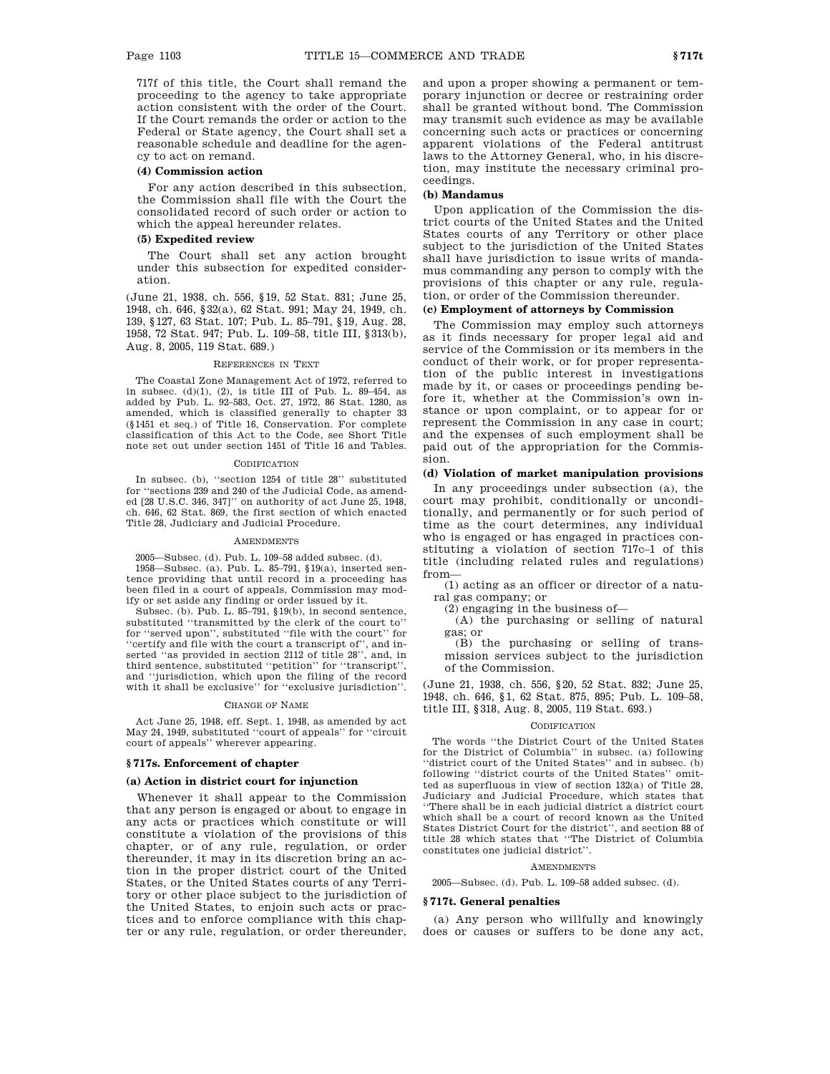717f of this title, the Court shall remand the proceeding to the agency to take appropriate action consistent with the order of the Court. If the Court remands the order or action to the Federal or State agency, the Court shall set a reasonable schedule and deadline for the agency to act on remand.

### **(4) Commission action**

For any action described in this subsection, the Commission shall file with the Court the consolidated record of such order or action to which the appeal hereunder relates.

## **(5) Expedited review**

The Court shall set any action brought under this subsection for expedited consideration.

(June 21, 1938, ch. 556, §19, 52 Stat. 831; June 25, 1948, ch. 646, §32(a), 62 Stat. 991; May 24, 1949, ch. 139, §127, 63 Stat. 107; Pub. L. 85–791, §19, Aug. 28, 1958, 72 Stat. 947; Pub. L. 109–58, title III, §313(b), Aug. 8, 2005, 119 Stat. 689.)

#### REFERENCES IN TEXT

The Coastal Zone Management Act of 1972, referred to in subsec.  $(d)(1)$ ,  $(2)$ , is title III of Pub. L. 89–454, as added by Pub. L. 92–583, Oct. 27, 1972, 86 Stat. 1280, as amended, which is classified generally to chapter 33 (§1451 et seq.) of Title 16, Conservation. For complete classification of this Act to the Code, see Short Title note set out under section 1451 of Title 16 and Tables.

#### **CODIFICATION**

In subsec. (b), ''section 1254 of title 28'' substituted for ''sections 239 and 240 of the Judicial Code, as amended [28 U.S.C. 346, 347]'' on authority of act June 25, 1948, ch. 646, 62 Stat. 869, the first section of which enacted Title 28, Judiciary and Judicial Procedure.

#### **AMENDMENTS**

2005—Subsec. (d). Pub. L. 109–58 added subsec. (d).

1958—Subsec. (a). Pub. L. 85–791, §19(a), inserted sentence providing that until record in a proceeding has been filed in a court of appeals, Commission may modify or set aside any finding or order issued by it.

Subsec. (b). Pub. L. 85–791, §19(b), in second sentence, substituted ''transmitted by the clerk of the court to'' for ''served upon'', substituted ''file with the court'' for ''certify and file with the court a transcript of'', and inserted ''as provided in section 2112 of title 28'', and, in third sentence, substituted ''petition'' for ''transcript'', and ''jurisdiction, which upon the filing of the record with it shall be exclusive'' for ''exclusive jurisdiction''.

#### CHANGE OF NAME

Act June 25, 1948, eff. Sept. 1, 1948, as amended by act May 24, 1949, substituted ''court of appeals'' for ''circuit court of appeals'' wherever appearing.

#### **§ 717s. Enforcement of chapter**

#### **(a) Action in district court for injunction**

Whenever it shall appear to the Commission that any person is engaged or about to engage in any acts or practices which constitute or will constitute a violation of the provisions of this chapter, or of any rule, regulation, or order thereunder, it may in its discretion bring an action in the proper district court of the United States, or the United States courts of any Territory or other place subject to the jurisdiction of the United States, to enjoin such acts or practices and to enforce compliance with this chapter or any rule, regulation, or order thereunder, and upon a proper showing a permanent or temporary injunction or decree or restraining order shall be granted without bond. The Commission may transmit such evidence as may be available concerning such acts or practices or concerning apparent violations of the Federal antitrust laws to the Attorney General, who, in his discretion, may institute the necessary criminal proceedings.

### **(b) Mandamus**

Upon application of the Commission the district courts of the United States and the United States courts of any Territory or other place subject to the jurisdiction of the United States shall have jurisdiction to issue writs of mandamus commanding any person to comply with the provisions of this chapter or any rule, regulation, or order of the Commission thereunder.

## **(c) Employment of attorneys by Commission**

The Commission may employ such attorneys as it finds necessary for proper legal aid and service of the Commission or its members in the conduct of their work, or for proper representation of the public interest in investigations made by it, or cases or proceedings pending before it, whether at the Commission's own instance or upon complaint, or to appear for or represent the Commission in any case in court; and the expenses of such employment shall be paid out of the appropriation for the Commission.

### **(d) Violation of market manipulation provisions**

In any proceedings under subsection (a), the court may prohibit, conditionally or unconditionally, and permanently or for such period of time as the court determines, any individual who is engaged or has engaged in practices constituting a violation of section 717c–1 of this title (including related rules and regulations) from—

(1) acting as an officer or director of a natural gas company; or

(2) engaging in the business of—

(A) the purchasing or selling of natural gas; or

(B) the purchasing or selling of transmission services subject to the jurisdiction of the Commission.

(June 21, 1938, ch. 556, §20, 52 Stat. 832; June 25, 1948, ch. 646, §1, 62 Stat. 875, 895; Pub. L. 109–58, title III, §318, Aug. 8, 2005, 119 Stat. 693.)

#### **CODIFICATION**

The words ''the District Court of the United States for the District of Columbia'' in subsec. (a) following ''district court of the United States'' and in subsec. (b) following ''district courts of the United States'' omitted as superfluous in view of section 132(a) of Title 28, Judiciary and Judicial Procedure, which states that ''There shall be in each judicial district a district court which shall be a court of record known as the United States District Court for the district'', and section 88 of title 28 which states that ''The District of Columbia constitutes one judicial district''.

#### AMENDMENTS

2005—Subsec. (d). Pub. L. 109–58 added subsec. (d).

#### **§ 717t. General penalties**

(a) Any person who willfully and knowingly does or causes or suffers to be done any act,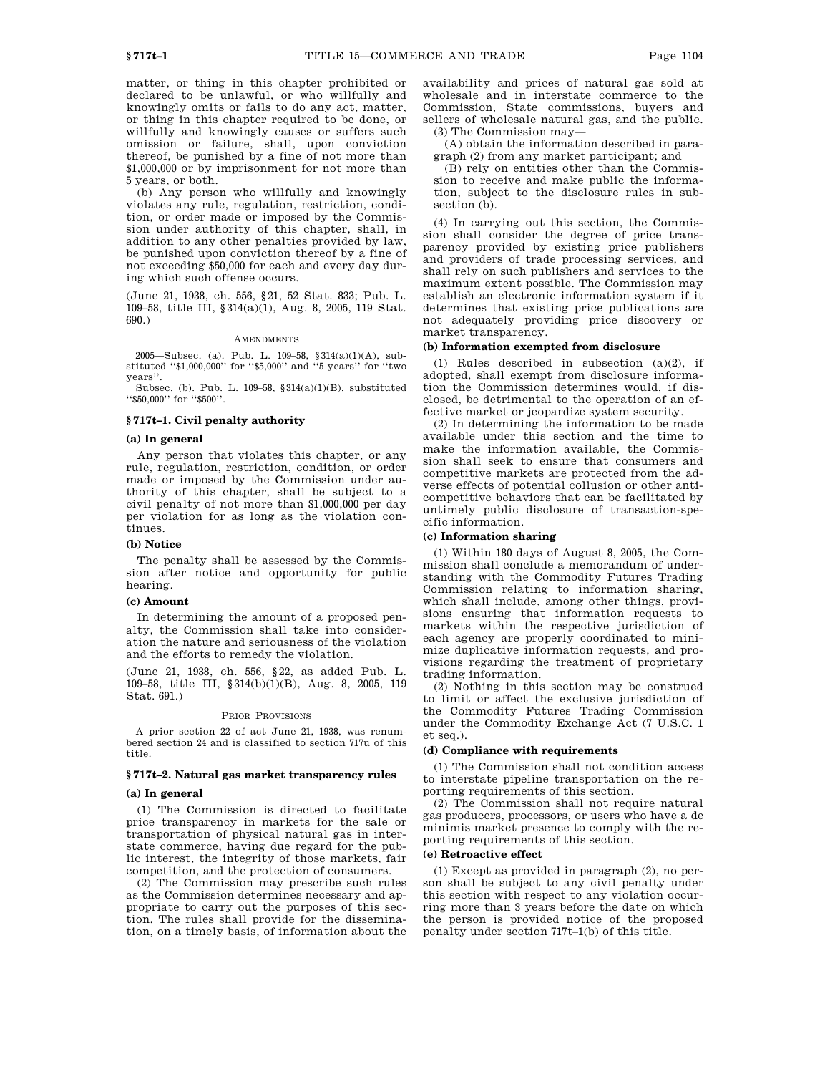matter, or thing in this chapter prohibited or declared to be unlawful, or who willfully and knowingly omits or fails to do any act, matter, or thing in this chapter required to be done, or willfully and knowingly causes or suffers such omission or failure, shall, upon conviction thereof, be punished by a fine of not more than \$1,000,000 or by imprisonment for not more than 5 years, or both.

(b) Any person who willfully and knowingly violates any rule, regulation, restriction, condition, or order made or imposed by the Commission under authority of this chapter, shall, in addition to any other penalties provided by law, be punished upon conviction thereof by a fine of not exceeding \$50,000 for each and every day during which such offense occurs.

(June 21, 1938, ch. 556, §21, 52 Stat. 833; Pub. L. 109–58, title III, §314(a)(1), Aug. 8, 2005, 119 Stat. 690.)

#### AMENDMENTS

2005—Subsec. (a). Pub. L. 109–58, §314(a)(1)(A), substituted ''\$1,000,000'' for ''\$5,000'' and ''5 years'' for ''two years''.

Subsec. (b). Pub. L. 109–58, §314(a)(1)(B), substituted ''\$50,000'' for ''\$500''.

### **§ 717t–1. Civil penalty authority**

### **(a) In general**

Any person that violates this chapter, or any rule, regulation, restriction, condition, or order made or imposed by the Commission under authority of this chapter, shall be subject to a civil penalty of not more than \$1,000,000 per day per violation for as long as the violation continues.

## **(b) Notice**

The penalty shall be assessed by the Commission after notice and opportunity for public hearing.

## **(c) Amount**

In determining the amount of a proposed penalty, the Commission shall take into consideration the nature and seriousness of the violation and the efforts to remedy the violation.

(June 21, 1938, ch. 556, §22, as added Pub. L. 109–58, title III, §314(b)(1)(B), Aug. 8, 2005, 119 Stat. 691.)

### PRIOR PROVISIONS

A prior section 22 of act June 21, 1938, was renumbered section 24 and is classified to section 717u of this title.

## **§ 717t–2. Natural gas market transparency rules**

#### **(a) In general**

(1) The Commission is directed to facilitate price transparency in markets for the sale or transportation of physical natural gas in interstate commerce, having due regard for the public interest, the integrity of those markets, fair competition, and the protection of consumers.

(2) The Commission may prescribe such rules as the Commission determines necessary and appropriate to carry out the purposes of this section. The rules shall provide for the dissemination, on a timely basis, of information about the availability and prices of natural gas sold at wholesale and in interstate commerce to the Commission, State commissions, buyers and sellers of wholesale natural gas, and the public. (3) The Commission may—

(A) obtain the information described in paragraph (2) from any market participant; and

(B) rely on entities other than the Commission to receive and make public the information, subject to the disclosure rules in subsection (b).

(4) In carrying out this section, the Commission shall consider the degree of price transparency provided by existing price publishers and providers of trade processing services, and shall rely on such publishers and services to the maximum extent possible. The Commission may establish an electronic information system if it determines that existing price publications are not adequately providing price discovery or market transparency.

#### **(b) Information exempted from disclosure**

(1) Rules described in subsection (a)(2), if adopted, shall exempt from disclosure information the Commission determines would, if disclosed, be detrimental to the operation of an effective market or jeopardize system security.

(2) In determining the information to be made available under this section and the time to make the information available, the Commission shall seek to ensure that consumers and competitive markets are protected from the adverse effects of potential collusion or other anticompetitive behaviors that can be facilitated by untimely public disclosure of transaction-specific information.

### **(c) Information sharing**

(1) Within 180 days of August 8, 2005, the Commission shall conclude a memorandum of understanding with the Commodity Futures Trading Commission relating to information sharing, which shall include, among other things, provisions ensuring that information requests to markets within the respective jurisdiction of each agency are properly coordinated to minimize duplicative information requests, and provisions regarding the treatment of proprietary trading information.

(2) Nothing in this section may be construed to limit or affect the exclusive jurisdiction of the Commodity Futures Trading Commission under the Commodity Exchange Act (7 U.S.C. 1 et seq.).

## **(d) Compliance with requirements**

(1) The Commission shall not condition access to interstate pipeline transportation on the reporting requirements of this section.

(2) The Commission shall not require natural gas producers, processors, or users who have a de minimis market presence to comply with the reporting requirements of this section.

## **(e) Retroactive effect**

(1) Except as provided in paragraph (2), no person shall be subject to any civil penalty under this section with respect to any violation occurring more than 3 years before the date on which the person is provided notice of the proposed penalty under section 717t–1(b) of this title.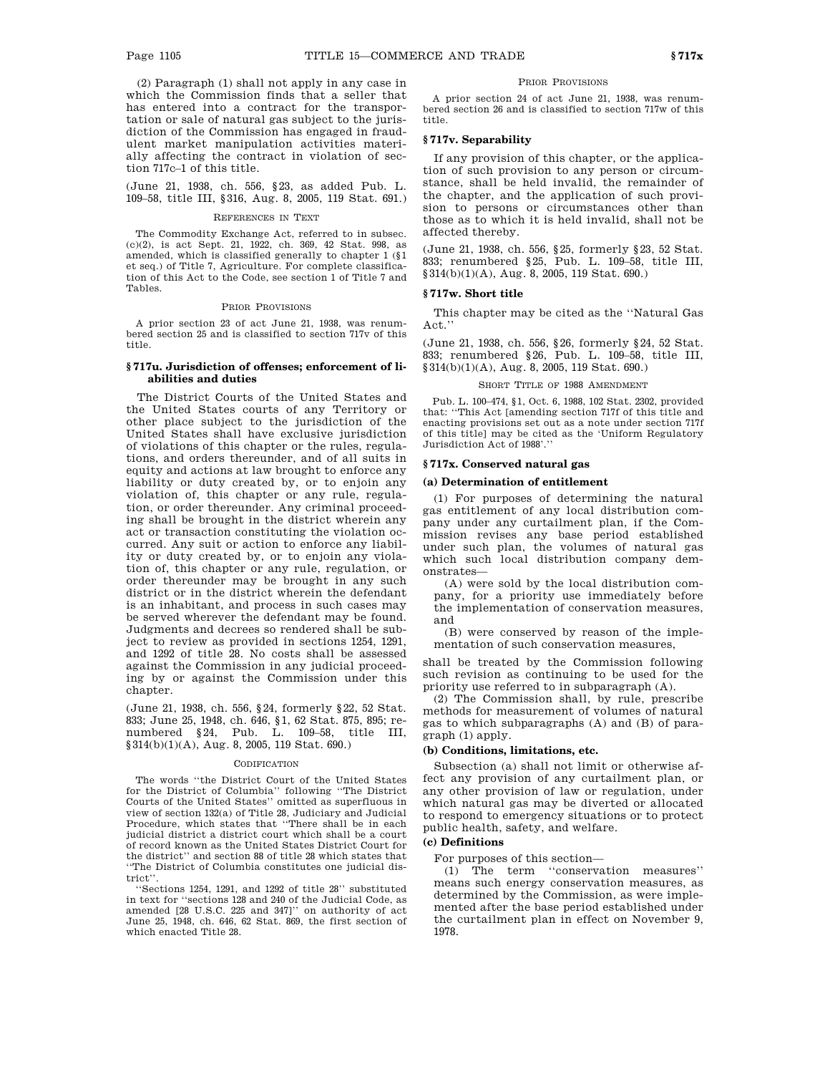(2) Paragraph (1) shall not apply in any case in which the Commission finds that a seller that has entered into a contract for the transportation or sale of natural gas subject to the jurisdiction of the Commission has engaged in fraudulent market manipulation activities materially affecting the contract in violation of section 717c–1 of this title.

(June 21, 1938, ch. 556, §23, as added Pub. L. 109–58, title III, §316, Aug. 8, 2005, 119 Stat. 691.)

#### REFERENCES IN TEXT

The Commodity Exchange Act, referred to in subsec. (c)(2), is act Sept. 21, 1922, ch. 369, 42 Stat. 998, as amended, which is classified generally to chapter 1 (§1 et seq.) of Title 7, Agriculture. For complete classification of this Act to the Code, see section 1 of Title 7 and Tables.

#### PRIOR PROVISIONS

A prior section 23 of act June 21, 1938, was renumbered section 25 and is classified to section 717v of this title.

## **§ 717u. Jurisdiction of offenses; enforcement of liabilities and duties**

The District Courts of the United States and the United States courts of any Territory or other place subject to the jurisdiction of the United States shall have exclusive jurisdiction of violations of this chapter or the rules, regulations, and orders thereunder, and of all suits in equity and actions at law brought to enforce any liability or duty created by, or to enjoin any violation of, this chapter or any rule, regulation, or order thereunder. Any criminal proceeding shall be brought in the district wherein any act or transaction constituting the violation occurred. Any suit or action to enforce any liability or duty created by, or to enjoin any violation of, this chapter or any rule, regulation, or order thereunder may be brought in any such district or in the district wherein the defendant is an inhabitant, and process in such cases may be served wherever the defendant may be found. Judgments and decrees so rendered shall be subject to review as provided in sections 1254, 1291, and 1292 of title 28. No costs shall be assessed against the Commission in any judicial proceeding by or against the Commission under this chapter.

(June 21, 1938, ch. 556, §24, formerly §22, 52 Stat. 833; June 25, 1948, ch. 646, §1, 62 Stat. 875, 895; renumbered §24, Pub. L. 109–58, title III, §314(b)(1)(A), Aug. 8, 2005, 119 Stat. 690.)

#### CODIFICATION

The words ''the District Court of the United States for the District of Columbia'' following ''The District Courts of the United States'' omitted as superfluous in view of section 132(a) of Title 28, Judiciary and Judicial Procedure, which states that ''There shall be in each judicial district a district court which shall be a court of record known as the United States District Court for the district'' and section 88 of title 28 which states that ''The District of Columbia constitutes one judicial district''.

'Sections 1254, 1291, and 1292 of title 28" substituted in text for ''sections 128 and 240 of the Judicial Code, as amended [28 U.S.C. 225 and 347]'' on authority of act June 25, 1948, ch. 646, 62 Stat. 869, the first section of which enacted Title 28.

#### PRIOR PROVISIONS

A prior section 24 of act June 21, 1938, was renumbered section 26 and is classified to section 717w of this title.

## **§ 717v. Separability**

If any provision of this chapter, or the application of such provision to any person or circumstance, shall be held invalid, the remainder of the chapter, and the application of such provision to persons or circumstances other than those as to which it is held invalid, shall not be affected thereby.

(June 21, 1938, ch. 556, §25, formerly §23, 52 Stat. 833; renumbered §25, Pub. L. 109–58, title III, §314(b)(1)(A), Aug. 8, 2005, 119 Stat. 690.)

## **§ 717w. Short title**

This chapter may be cited as the ''Natural Gas Act.''

(June 21, 1938, ch. 556, §26, formerly §24, 52 Stat. 833; renumbered §26, Pub. L. 109–58, title III, §314(b)(1)(A), Aug. 8, 2005, 119 Stat. 690.)

## SHORT TITLE OF 1988 AMENDMENT

Pub. L. 100–474, §1, Oct. 6, 1988, 102 Stat. 2302, provided that: ''This Act [amending section 717f of this title and enacting provisions set out as a note under section 717f of this title] may be cited as the 'Uniform Regulatory Jurisdiction Act of 1988'.''

### **§ 717x. Conserved natural gas**

## **(a) Determination of entitlement**

(1) For purposes of determining the natural gas entitlement of any local distribution company under any curtailment plan, if the Commission revises any base period established under such plan, the volumes of natural gas which such local distribution company demonstrates—

(A) were sold by the local distribution company, for a priority use immediately before the implementation of conservation measures, and

(B) were conserved by reason of the implementation of such conservation measures,

shall be treated by the Commission following such revision as continuing to be used for the priority use referred to in subparagraph (A).

(2) The Commission shall, by rule, prescribe methods for measurement of volumes of natural gas to which subparagraphs (A) and (B) of paragraph (1) apply.

### **(b) Conditions, limitations, etc.**

Subsection (a) shall not limit or otherwise affect any provision of any curtailment plan, or any other provision of law or regulation, under which natural gas may be diverted or allocated to respond to emergency situations or to protect public health, safety, and welfare.

## **(c) Definitions**

For purposes of this section—

(1) The term ''conservation measures'' means such energy conservation measures, as determined by the Commission, as were implemented after the base period established under the curtailment plan in effect on November 9, 1978.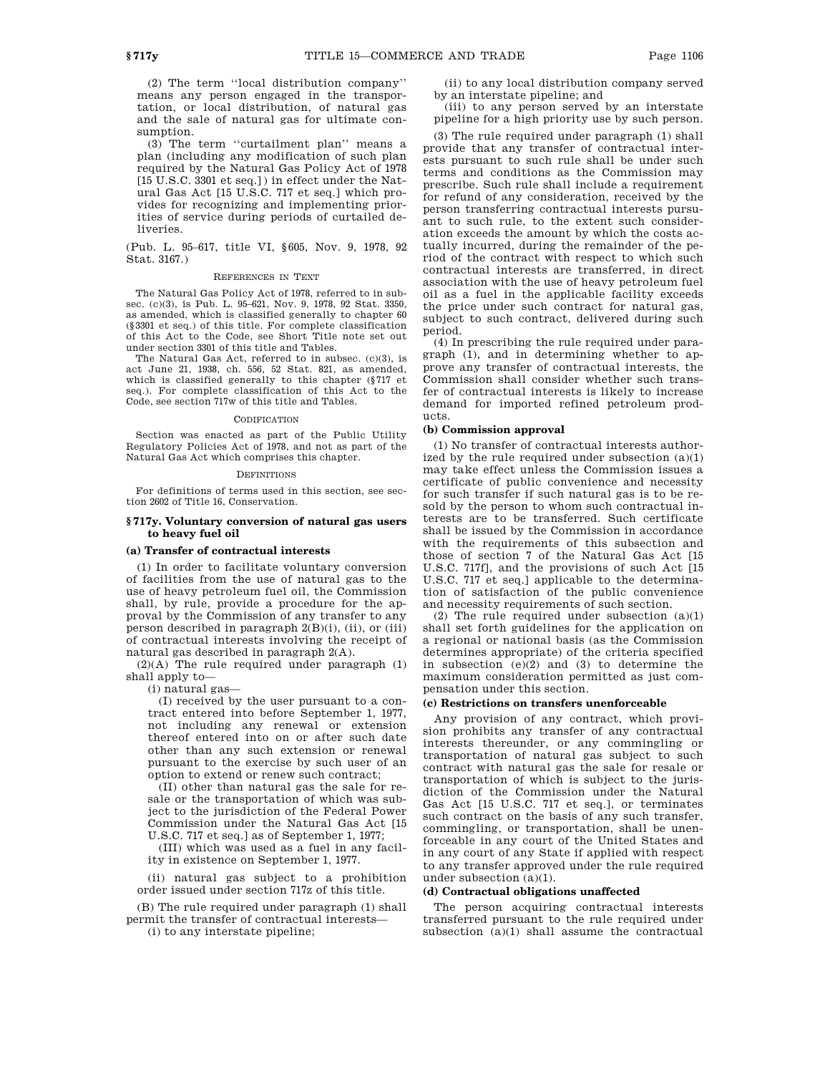(2) The term ''local distribution company'' means any person engaged in the transportation, or local distribution, of natural gas and the sale of natural gas for ultimate consumption.

(3) The term ''curtailment plan'' means a plan (including any modification of such plan required by the Natural Gas Policy Act of 1978 [15 U.S.C. 3301 et seq.]) in effect under the Natural Gas Act [15 U.S.C. 717 et seq.] which provides for recognizing and implementing priorities of service during periods of curtailed deliveries.

(Pub. L. 95–617, title VI, §605, Nov. 9, 1978, 92 Stat. 3167.)

#### REFERENCES IN TEXT

The Natural Gas Policy Act of 1978, referred to in subsec. (c)(3), is Pub. L. 95–621, Nov. 9, 1978, 92 Stat. 3350, as amended, which is classified generally to chapter 60 (§3301 et seq.) of this title. For complete classification of this Act to the Code, see Short Title note set out under section 3301 of this title and Tables.

The Natural Gas Act, referred to in subsec. (c)(3), is act June 21, 1938, ch. 556, 52 Stat. 821, as amended, which is classified generally to this chapter (§717 et seq.). For complete classification of this Act to the Code, see section 717w of this title and Tables.

#### **CODIFICATION**

Section was enacted as part of the Public Utility Regulatory Policies Act of 1978, and not as part of the Natural Gas Act which comprises this chapter.

#### **DEFINITIONS**

For definitions of terms used in this section, see section 2602 of Title 16, Conservation.

### **§ 717y. Voluntary conversion of natural gas users to heavy fuel oil**

### **(a) Transfer of contractual interests**

(1) In order to facilitate voluntary conversion of facilities from the use of natural gas to the use of heavy petroleum fuel oil, the Commission shall, by rule, provide a procedure for the approval by the Commission of any transfer to any person described in paragraph 2(B)(i), (ii), or (iii) of contractual interests involving the receipt of natural gas described in paragraph 2(A).

(2)(A) The rule required under paragraph (1) shall apply to—

(i) natural gas—

(I) received by the user pursuant to a contract entered into before September 1, 1977 not including any renewal or extension thereof entered into on or after such date other than any such extension or renewal pursuant to the exercise by such user of an option to extend or renew such contract;

(II) other than natural gas the sale for resale or the transportation of which was subject to the jurisdiction of the Federal Power Commission under the Natural Gas Act [15 U.S.C. 717 et seq.] as of September 1, 1977;

(III) which was used as a fuel in any facility in existence on September 1, 1977.

(ii) natural gas subject to a prohibition order issued under section 717z of this title.

(B) The rule required under paragraph (1) shall permit the transfer of contractual interests—

(i) to any interstate pipeline;

(ii) to any local distribution company served by an interstate pipeline; and

(iii) to any person served by an interstate pipeline for a high priority use by such person.

(3) The rule required under paragraph (1) shall provide that any transfer of contractual interests pursuant to such rule shall be under such terms and conditions as the Commission may prescribe. Such rule shall include a requirement for refund of any consideration, received by the person transferring contractual interests pursuant to such rule, to the extent such consideration exceeds the amount by which the costs actually incurred, during the remainder of the period of the contract with respect to which such contractual interests are transferred, in direct association with the use of heavy petroleum fuel oil as a fuel in the applicable facility exceeds the price under such contract for natural gas, subject to such contract, delivered during such period.

(4) In prescribing the rule required under paragraph (1), and in determining whether to approve any transfer of contractual interests, the Commission shall consider whether such transfer of contractual interests is likely to increase demand for imported refined petroleum products.

## **(b) Commission approval**

(1) No transfer of contractual interests authorized by the rule required under subsection  $(a)(1)$ may take effect unless the Commission issues a certificate of public convenience and necessity for such transfer if such natural gas is to be resold by the person to whom such contractual interests are to be transferred. Such certificate shall be issued by the Commission in accordance with the requirements of this subsection and those of section 7 of the Natural Gas Act [15 U.S.C. 717f], and the provisions of such Act [15 U.S.C. 717 et seq.] applicable to the determination of satisfaction of the public convenience and necessity requirements of such section.

(2) The rule required under subsection  $(a)(1)$ shall set forth guidelines for the application on a regional or national basis (as the Commission determines appropriate) of the criteria specified in subsection (e)(2) and (3) to determine the maximum consideration permitted as just compensation under this section.

#### **(c) Restrictions on transfers unenforceable**

Any provision of any contract, which provision prohibits any transfer of any contractual interests thereunder, or any commingling or transportation of natural gas subject to such contract with natural gas the sale for resale or transportation of which is subject to the jurisdiction of the Commission under the Natural Gas Act [15 U.S.C. 717 et seq.], or terminates such contract on the basis of any such transfer, commingling, or transportation, shall be unenforceable in any court of the United States and in any court of any State if applied with respect to any transfer approved under the rule required under subsection (a)(1).

## **(d) Contractual obligations unaffected**

The person acquiring contractual interests transferred pursuant to the rule required under subsection (a)(1) shall assume the contractual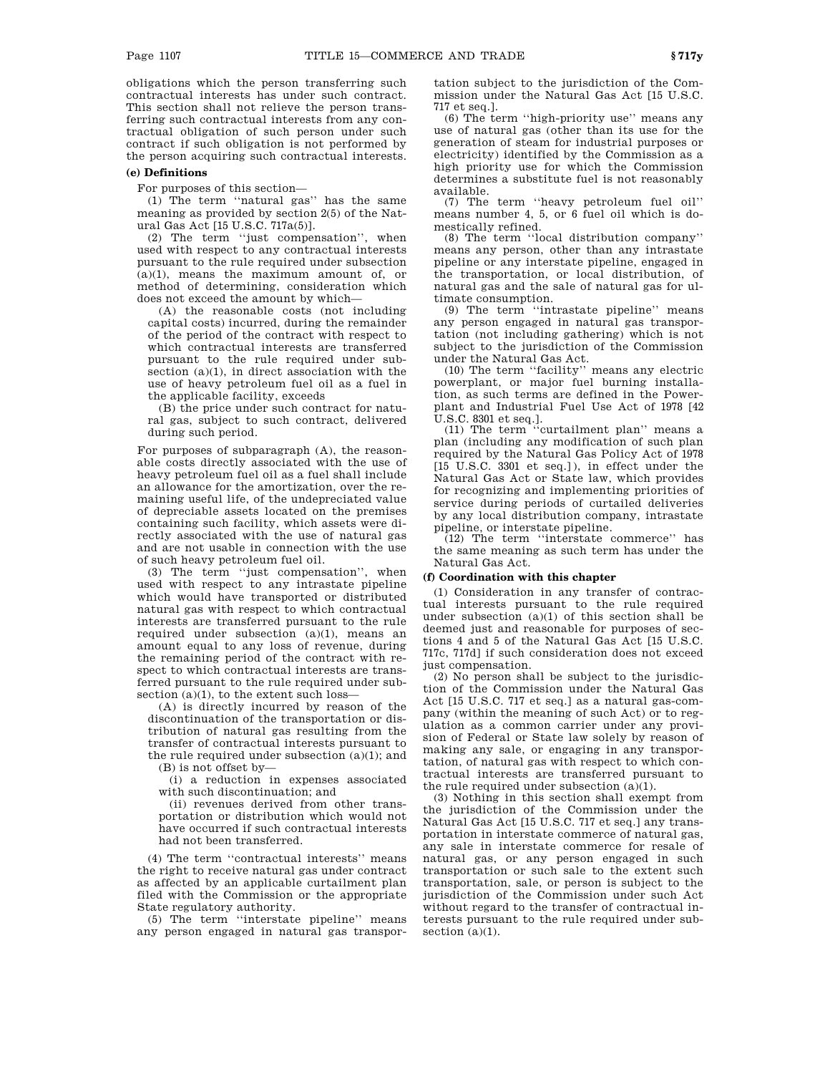obligations which the person transferring such contractual interests has under such contract. This section shall not relieve the person transferring such contractual interests from any contractual obligation of such person under such contract if such obligation is not performed by the person acquiring such contractual interests.

## **(e) Definitions**

For purposes of this section—

(1) The term ''natural gas'' has the same meaning as provided by section 2(5) of the Natural Gas Act [15 U.S.C. 717a(5)].

(2) The term ''just compensation'', when used with respect to any contractual interests pursuant to the rule required under subsection (a)(1), means the maximum amount of, or method of determining, consideration which does not exceed the amount by which—

(A) the reasonable costs (not including capital costs) incurred, during the remainder of the period of the contract with respect to which contractual interests are transferred pursuant to the rule required under subsection  $(a)(1)$ , in direct association with the use of heavy petroleum fuel oil as a fuel in the applicable facility, exceeds

(B) the price under such contract for natural gas, subject to such contract, delivered during such period.

For purposes of subparagraph (A), the reasonable costs directly associated with the use of heavy petroleum fuel oil as a fuel shall include an allowance for the amortization, over the remaining useful life, of the undepreciated value of depreciable assets located on the premises containing such facility, which assets were directly associated with the use of natural gas and are not usable in connection with the use of such heavy petroleum fuel oil.

(3) The term ''just compensation'', when used with respect to any intrastate pipeline which would have transported or distributed natural gas with respect to which contractual interests are transferred pursuant to the rule required under subsection (a)(1), means an amount equal to any loss of revenue, during the remaining period of the contract with respect to which contractual interests are transferred pursuant to the rule required under subsection  $(a)(1)$ , to the extent such loss-

(A) is directly incurred by reason of the discontinuation of the transportation or distribution of natural gas resulting from the transfer of contractual interests pursuant to the rule required under subsection (a)(1); and (B) is not offset by—

(i) a reduction in expenses associated with such discontinuation; and

(ii) revenues derived from other transportation or distribution which would not have occurred if such contractual interests had not been transferred.

(4) The term ''contractual interests'' means the right to receive natural gas under contract as affected by an applicable curtailment plan filed with the Commission or the appropriate State regulatory authority.

(5) The term ''interstate pipeline'' means any person engaged in natural gas transportation subject to the jurisdiction of the Commission under the Natural Gas Act [15 U.S.C. 717 et seq.].

(6) The term ''high-priority use'' means any use of natural gas (other than its use for the generation of steam for industrial purposes or electricity) identified by the Commission as a high priority use for which the Commission determines a substitute fuel is not reasonably available.

(7) The term ''heavy petroleum fuel oil'' means number 4, 5, or 6 fuel oil which is domestically refined.

(8) The term ''local distribution company'' means any person, other than any intrastate pipeline or any interstate pipeline, engaged in the transportation, or local distribution, of natural gas and the sale of natural gas for ultimate consumption.

(9) The term ''intrastate pipeline'' means any person engaged in natural gas transportation (not including gathering) which is not subject to the jurisdiction of the Commission under the Natural Gas Act.

(10) The term ''facility'' means any electric powerplant, or major fuel burning installation, as such terms are defined in the Powerplant and Industrial Fuel Use Act of 1978 [42 U.S.C. 8301 et seq.].

(11) The term ''curtailment plan'' means a plan (including any modification of such plan required by the Natural Gas Policy Act of 1978 [15 U.S.C. 3301 et seq.]), in effect under the Natural Gas Act or State law, which provides for recognizing and implementing priorities of service during periods of curtailed deliveries by any local distribution company, intrastate pipeline, or interstate pipeline.

(12) The term ''interstate commerce'' has the same meaning as such term has under the Natural Gas Act.

#### **(f) Coordination with this chapter**

(1) Consideration in any transfer of contractual interests pursuant to the rule required under subsection (a)(1) of this section shall be deemed just and reasonable for purposes of sections 4 and 5 of the Natural Gas Act [15 U.S.C. 717c, 717d] if such consideration does not exceed just compensation.

(2) No person shall be subject to the jurisdiction of the Commission under the Natural Gas Act [15 U.S.C. 717 et seq.] as a natural gas-company (within the meaning of such Act) or to regulation as a common carrier under any provision of Federal or State law solely by reason of making any sale, or engaging in any transportation, of natural gas with respect to which contractual interests are transferred pursuant to the rule required under subsection (a)(1).

(3) Nothing in this section shall exempt from the jurisdiction of the Commission under the Natural Gas Act [15 U.S.C. 717 et seq.] any transportation in interstate commerce of natural gas, any sale in interstate commerce for resale of natural gas, or any person engaged in such transportation or such sale to the extent such transportation, sale, or person is subject to the jurisdiction of the Commission under such Act without regard to the transfer of contractual interests pursuant to the rule required under subsection  $(a)(1)$ .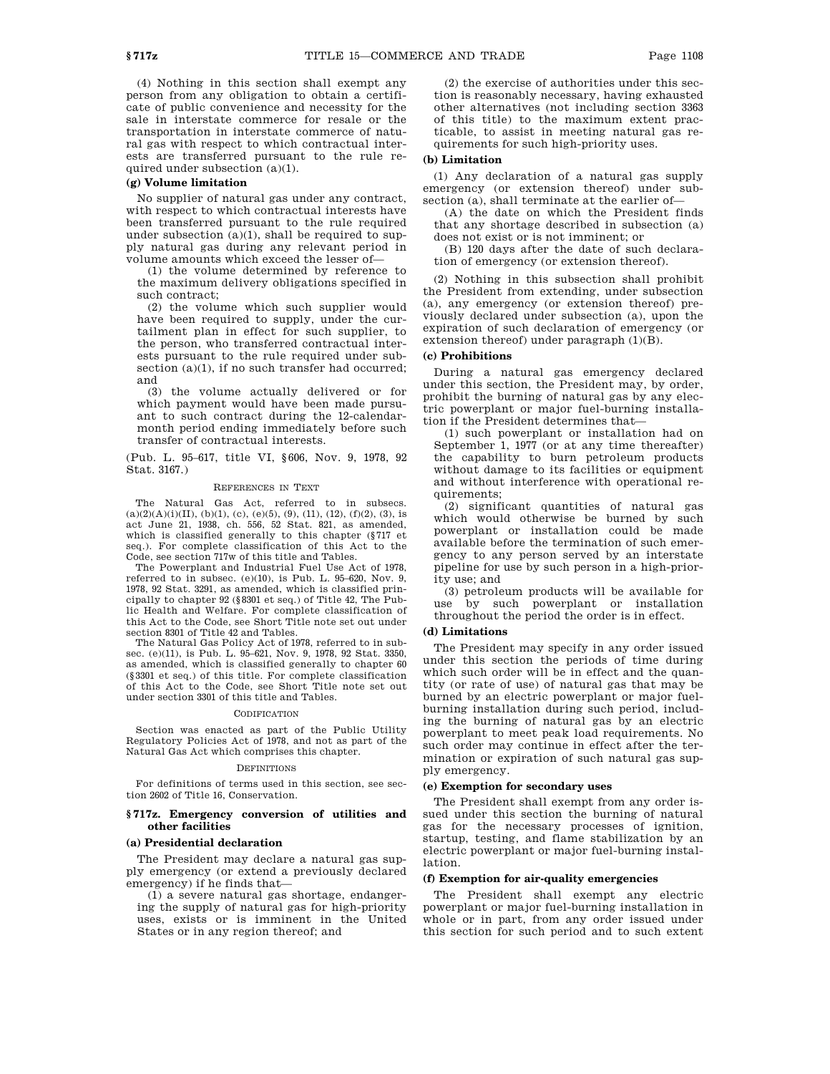(4) Nothing in this section shall exempt any person from any obligation to obtain a certificate of public convenience and necessity for the sale in interstate commerce for resale or the transportation in interstate commerce of natural gas with respect to which contractual interests are transferred pursuant to the rule required under subsection (a)(1).

#### **(g) Volume limitation**

No supplier of natural gas under any contract, with respect to which contractual interests have been transferred pursuant to the rule required under subsection  $(a)(1)$ , shall be required to supply natural gas during any relevant period in volume amounts which exceed the lesser of—

(1) the volume determined by reference to the maximum delivery obligations specified in such contract;

(2) the volume which such supplier would have been required to supply, under the curtailment plan in effect for such supplier, to the person, who transferred contractual interests pursuant to the rule required under subsection (a)(1), if no such transfer had occurred; and

(3) the volume actually delivered or for which payment would have been made pursuant to such contract during the 12-calendarmonth period ending immediately before such transfer of contractual interests.

(Pub. L. 95–617, title VI, §606, Nov. 9, 1978, 92 Stat. 3167.)

#### REFERENCES IN TEXT

The Natural Gas Act, referred to in subsecs.  $(a)(2)(A)(i)(II), (b)(1), (c), (e)(5), (9), (11), (12), (f)(2), (3), is$ act June 21, 1938, ch. 556, 52 Stat. 821, as amended, which is classified generally to this chapter (§717 et seq.). For complete classification of this Act to the Code, see section 717w of this title and Tables.

The Powerplant and Industrial Fuel Use Act of 1978, referred to in subsec. (e)(10), is Pub. L. 95–620, Nov. 9, 1978, 92 Stat. 3291, as amended, which is classified principally to chapter 92 (§8301 et seq.) of Title 42, The Public Health and Welfare. For complete classification of this Act to the Code, see Short Title note set out under section 8301 of Title 42 and Tables.

The Natural Gas Policy Act of 1978, referred to in subsec. (e)(11), is Pub. L. 95–621, Nov. 9, 1978, 92 Stat. 3350, as amended, which is classified generally to chapter 60 (§3301 et seq.) of this title. For complete classification of this Act to the Code, see Short Title note set out under section 3301 of this title and Tables.

## **CODIFICATION**

Section was enacted as part of the Public Utility Regulatory Policies Act of 1978, and not as part of the Natural Gas Act which comprises this chapter.

## **DEFINITIONS**

For definitions of terms used in this section, see section 2602 of Title 16, Conservation.

## **§ 717z. Emergency conversion of utilities and other facilities**

## **(a) Presidential declaration**

The President may declare a natural gas supply emergency (or extend a previously declared emergency) if he finds that—

(1) a severe natural gas shortage, endangering the supply of natural gas for high-priority uses, exists or is imminent in the United States or in any region thereof; and

(2) the exercise of authorities under this section is reasonably necessary, having exhausted other alternatives (not including section 3363 of this title) to the maximum extent practicable, to assist in meeting natural gas requirements for such high-priority uses.

## **(b) Limitation**

(1) Any declaration of a natural gas supply emergency (or extension thereof) under subsection (a), shall terminate at the earlier of—

(A) the date on which the President finds that any shortage described in subsection (a) does not exist or is not imminent; or

(B) 120 days after the date of such declaration of emergency (or extension thereof).

(2) Nothing in this subsection shall prohibit the President from extending, under subsection (a), any emergency (or extension thereof) previously declared under subsection (a), upon the expiration of such declaration of emergency (or extension thereof) under paragraph (1)(B).

## **(c) Prohibitions**

During a natural gas emergency declared under this section, the President may, by order, prohibit the burning of natural gas by any electric powerplant or major fuel-burning installation if the President determines that—

(1) such powerplant or installation had on September 1, 1977 (or at any time thereafter) the capability to burn petroleum products without damage to its facilities or equipment and without interference with operational requirements;

(2) significant quantities of natural gas which would otherwise be burned by such powerplant or installation could be made available before the termination of such emergency to any person served by an interstate pipeline for use by such person in a high-priority use; and

(3) petroleum products will be available for use by such powerplant or installation throughout the period the order is in effect.

## **(d) Limitations**

The President may specify in any order issued under this section the periods of time during which such order will be in effect and the quantity (or rate of use) of natural gas that may be burned by an electric powerplant or major fuelburning installation during such period, including the burning of natural gas by an electric powerplant to meet peak load requirements. No such order may continue in effect after the termination or expiration of such natural gas supply emergency.

### **(e) Exemption for secondary uses**

The President shall exempt from any order issued under this section the burning of natural gas for the necessary processes of ignition, startup, testing, and flame stabilization by an electric powerplant or major fuel-burning installation.

## **(f) Exemption for air-quality emergencies**

The President shall exempt any electric powerplant or major fuel-burning installation in whole or in part, from any order issued under this section for such period and to such extent